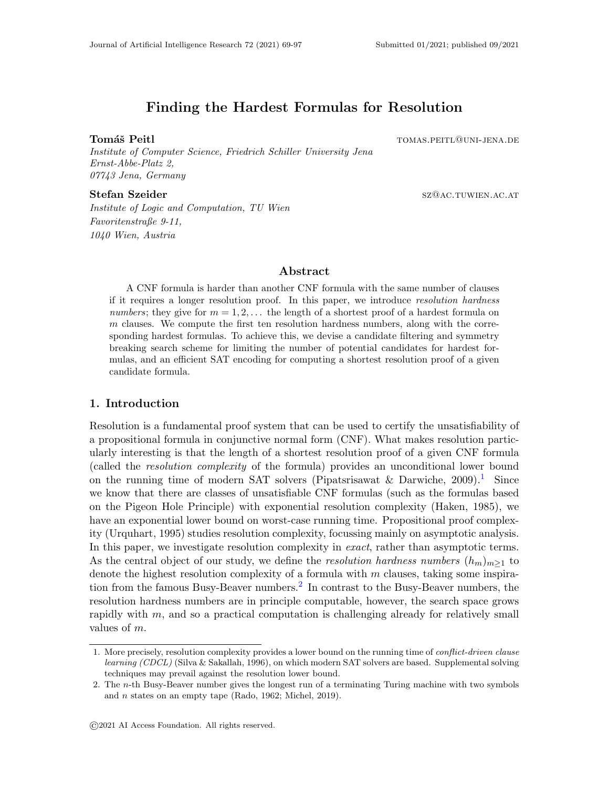# Finding the Hardest Formulas for Resolution

#### Tomáš Peitl tomas.peitle/settle/settle/settle/settle/settle/settle/settle/settle/

Institute of Computer Science, Friedrich Schiller University Jena Ernst-Abbe-Platz 2, 07743 Jena, Germany

Stefan Szeider szweider szweider szweiden szweiden szweiden szweiden szweiden szweiden szweiden szweiden szwei

Institute of Logic and Computation, TU Wien Favoritenstraße 9-11, 1040 Wien, Austria

#### Abstract

A CNF formula is harder than another CNF formula with the same number of clauses if it requires a longer resolution proof. In this paper, we introduce resolution hardness numbers; they give for  $m = 1, 2, \ldots$  the length of a shortest proof of a hardest formula on m clauses. We compute the first ten resolution hardness numbers, along with the corresponding hardest formulas. To achieve this, we devise a candidate filtering and symmetry breaking search scheme for limiting the number of potential candidates for hardest formulas, and an efficient SAT encoding for computing a shortest resolution proof of a given candidate formula.

## 1. Introduction

Resolution is a fundamental proof system that can be used to certify the unsatisfiability of a propositional formula in conjunctive normal form (CNF). What makes resolution particularly interesting is that the length of a shortest resolution proof of a given CNF formula (called the resolution complexity of the formula) provides an unconditional lower bound on the running time of modern SAT solvers (Pipatsrisawat & Darwiche,  $2009$ ).<sup>[1](#page-0-0)</sup> Since we know that there are classes of unsatisfiable CNF formulas (such as the formulas based on the Pigeon Hole Principle) with exponential resolution complexity (Haken, 1985), we have an exponential lower bound on worst-case running time. Propositional proof complexity (Urquhart, 1995) studies resolution complexity, focussing mainly on asymptotic analysis. In this paper, we investigate resolution complexity in *exact*, rather than asymptotic terms. As the central object of our study, we define the *resolution hardness numbers*  $(h_m)_{m>1}$  to denote the highest resolution complexity of a formula with  $m$  clauses, taking some inspira-tion from the famous Busy-Beaver numbers.<sup>[2](#page-0-1)</sup> In contrast to the Busy-Beaver numbers, the resolution hardness numbers are in principle computable, however, the search space grows rapidly with  $m$ , and so a practical computation is challenging already for relatively small values of m.

<span id="page-0-0"></span><sup>1.</sup> More precisely, resolution complexity provides a lower bound on the running time of conflict-driven clause learning (CDCL) (Silva & Sakallah, 1996), on which modern SAT solvers are based. Supplemental solving techniques may prevail against the resolution lower bound.

<span id="page-0-1"></span><sup>2.</sup> The  $n$ -th Busy-Beaver number gives the longest run of a terminating Turing machine with two symbols and n states on an empty tape (Rado, 1962; Michel, 2019).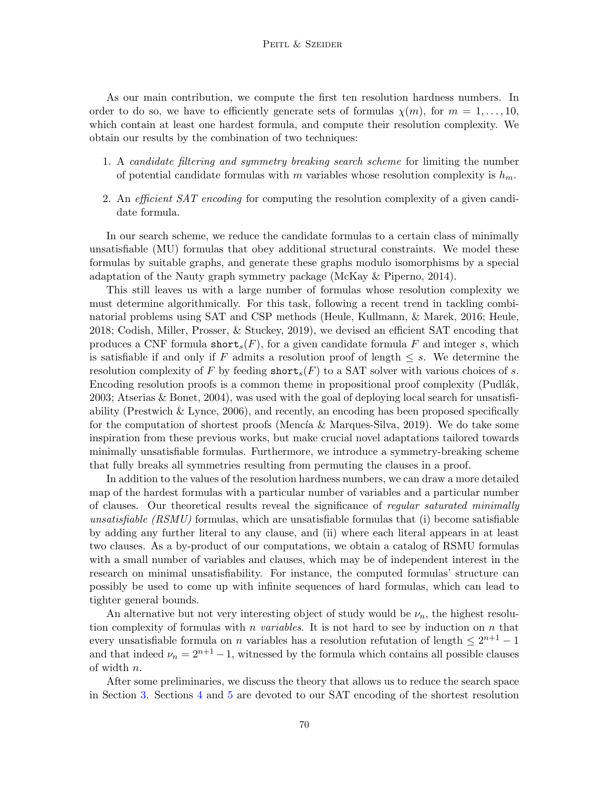As our main contribution, we compute the first ten resolution hardness numbers. In order to do so, we have to efficiently generate sets of formulas  $\chi(m)$ , for  $m = 1, \ldots, 10$ , which contain at least one hardest formula, and compute their resolution complexity. We obtain our results by the combination of two techniques:

- 1. A candidate filtering and symmetry breaking search scheme for limiting the number of potential candidate formulas with m variables whose resolution complexity is  $h_m$ .
- 2. An efficient SAT encoding for computing the resolution complexity of a given candidate formula.

In our search scheme, we reduce the candidate formulas to a certain class of minimally unsatisfiable (MU) formulas that obey additional structural constraints. We model these formulas by suitable graphs, and generate these graphs modulo isomorphisms by a special adaptation of the Nauty graph symmetry package (McKay & Piperno, 2014).

This still leaves us with a large number of formulas whose resolution complexity we must determine algorithmically. For this task, following a recent trend in tackling combinatorial problems using SAT and CSP methods (Heule, Kullmann, & Marek, 2016; Heule, 2018; Codish, Miller, Prosser, & Stuckey, 2019), we devised an efficient SAT encoding that produces a CNF formula short<sub>s</sub> $(F)$ , for a given candidate formula F and integer s, which is satisfiable if and only if F admits a resolution proof of length  $\leq s$ . We determine the resolution complexity of F by feeding  $\texttt{short}_s(F)$  to a SAT solver with various choices of s. Encoding resolution proofs is a common theme in propositional proof complexity (Pudlák, 2003; Atserias & Bonet, 2004), was used with the goal of deploying local search for unsatisfiability (Prestwich & Lynce, 2006), and recently, an encoding has been proposed specifically for the computation of shortest proofs (Mencía & Marques-Silva, 2019). We do take some inspiration from these previous works, but make crucial novel adaptations tailored towards minimally unsatisfiable formulas. Furthermore, we introduce a symmetry-breaking scheme that fully breaks all symmetries resulting from permuting the clauses in a proof.

In addition to the values of the resolution hardness numbers, we can draw a more detailed map of the hardest formulas with a particular number of variables and a particular number of clauses. Our theoretical results reveal the significance of regular saturated minimally unsatisfiable  $(RSMU)$  formulas, which are unsatisfiable formulas that (i) become satisfiable by adding any further literal to any clause, and (ii) where each literal appears in at least two clauses. As a by-product of our computations, we obtain a catalog of RSMU formulas with a small number of variables and clauses, which may be of independent interest in the research on minimal unsatisfiability. For instance, the computed formulas' structure can possibly be used to come up with infinite sequences of hard formulas, which can lead to tighter general bounds.

An alternative but not very interesting object of study would be  $\nu_n$ , the highest resolution complexity of formulas with  $n$  variables. It is not hard to see by induction on  $n$  that every unsatisfiable formula on n variables has a resolution refutation of length  $\leq 2^{n+1} - 1$ and that indeed  $\nu_n = 2^{n+1} - 1$ , witnessed by the formula which contains all possible clauses of width n.

After some preliminaries, we discuss the theory that allows us to reduce the search space in Section [3.](#page-4-0) Sections [4](#page-10-0) and [5](#page-15-0) are devoted to our SAT encoding of the shortest resolution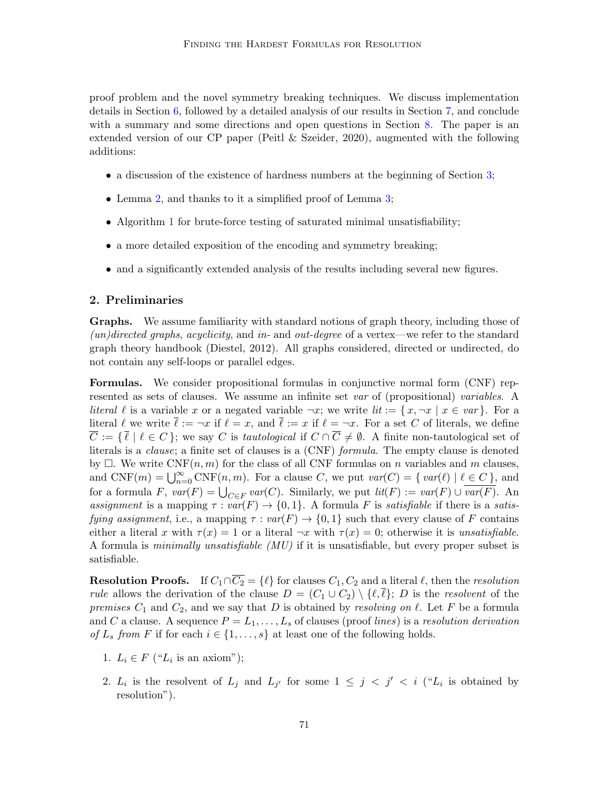proof problem and the novel symmetry breaking techniques. We discuss implementation details in Section [6,](#page-17-0) followed by a detailed analysis of our results in Section [7,](#page-19-0) and conclude with a summary and some directions and open questions in Section [8.](#page-25-0) The paper is an extended version of our CP paper (Peitl & Szeider, 2020), augmented with the following additions:

- a discussion of the existence of hardness numbers at the beginning of Section [3;](#page-4-0)
- Lemma [2,](#page-4-1) and thanks to it a simplified proof of Lemma [3;](#page-5-0)
- Algorithm [1](#page-11-0) for brute-force testing of saturated minimal unsatisfiability;
- a more detailed exposition of the encoding and symmetry breaking;
- and a significantly extended analysis of the results including several new figures.

### <span id="page-2-0"></span>2. Preliminaries

Graphs. We assume familiarity with standard notions of graph theory, including those of (un)directed graphs, acyclicity, and in- and out-degree of a vertex—we refer to the standard graph theory handbook (Diestel, 2012). All graphs considered, directed or undirected, do not contain any self-loops or parallel edges.

Formulas. We consider propositional formulas in conjunctive normal form (CNF) represented as sets of clauses. We assume an infinite set var of (propositional) variables. A literal  $\ell$  is a variable x or a negated variable  $\neg x$ ; we write lit := { $x, \neg x | x \in var$  }. For a literal  $\ell$  we write  $\overline{\ell} := \neg x$  if  $\ell = x$ , and  $\overline{\ell} := x$  if  $\ell = \neg x$ . For a set C of literals, we define  $\overline{C} := \{ \overline{\ell} \mid \ell \in C \}$ ; we say C is tautological if  $C \cap \overline{C} \neq \emptyset$ . A finite non-tautological set of literals is a *clause*; a finite set of clauses is a (CNF) *formula*. The empty clause is denoted by  $\Box$ . We write  $\text{CNF}(n, m)$  for the class of all CNF formulas on n variables and m clauses, and  $\text{CNF}(m) = \bigcup_{n=0}^{\infty} \text{CNF}(n, m)$ . For a clause C, we put  $var(C) = \{ var(\ell) | \ell \in C \}$ , and for a formula F,  $var(F) = \bigcup_{C \in F} var(C)$ . Similarly, we put  $lit(F) := var(F) \cup var(F)$ . An assignment is a mapping  $\tau : var(F) \to \{0, 1\}$ . A formula F is satisfiable if there is a satisfying assignment, i.e., a mapping  $\tau : var(F) \to \{0,1\}$  such that every clause of F contains either a literal x with  $\tau(x) = 1$  or a literal  $\neg x$  with  $\tau(x) = 0$ ; otherwise it is unsatisfiable. A formula is minimally unsatisfiable (MU) if it is unsatisfiable, but every proper subset is satisfiable.

**Resolution Proofs.** If  $C_1 \cap \overline{C_2} = \{\ell\}$  for clauses  $C_1, C_2$  and a literal  $\ell$ , then the *resolution rule* allows the derivation of the clause  $D = (C_1 \cup C_2) \setminus \{ \ell, \overline{\ell} \}; D$  is the *resolvent* of the premises  $C_1$  and  $C_2$ , and we say that D is obtained by resolving on  $\ell$ . Let F be a formula and C a clause. A sequence  $P = L_1, \ldots, L_s$  of clauses (proof lines) is a resolution derivation of  $L_s$  from F if for each  $i \in \{1, \ldots, s\}$  at least one of the following holds.

- 1.  $L_i \in F$  (" $L_i$  is an axiom");
- 2.  $L_i$  is the resolvent of  $L_j$  and  $L_{j'}$  for some  $1 \leq j \leq j' \leq i$  (" $L_i$  is obtained by resolution").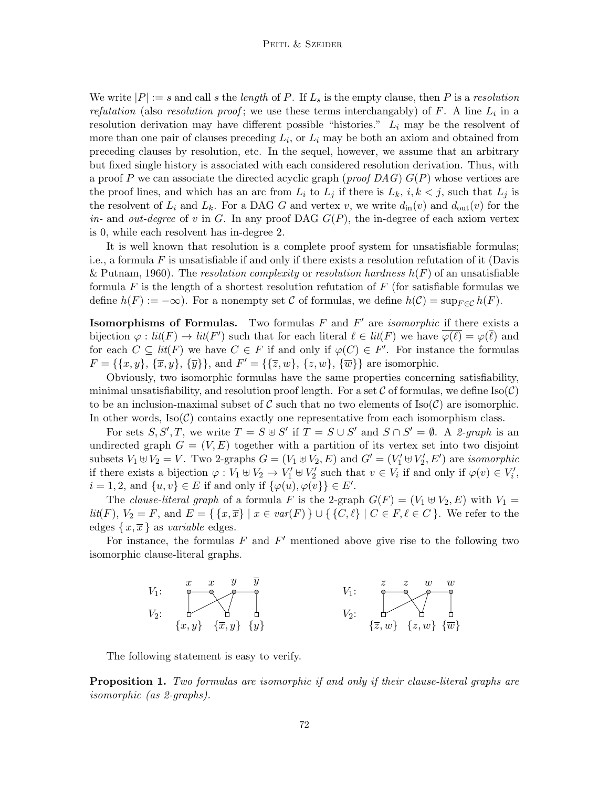We write  $|P| := s$  and call s the length of P. If  $L_s$  is the empty clause, then P is a resolution refutation (also resolution proof; we use these terms interchangably) of  $F$ . A line  $L_i$  in a resolution derivation may have different possible "histories."  $L_i$  may be the resolvent of more than one pair of clauses preceding  $L_i$ , or  $L_i$  may be both an axiom and obtained from preceding clauses by resolution, etc. In the sequel, however, we assume that an arbitrary but fixed single history is associated with each considered resolution derivation. Thus, with a proof P we can associate the directed acyclic graph (proof  $DAG$ )  $G(P)$  whose vertices are the proof lines, and which has an arc from  $L_i$  to  $L_j$  if there is  $L_k$ ,  $i, k < j$ , such that  $L_j$  is the resolvent of  $L_i$  and  $L_k$ . For a DAG G and vertex v, we write  $d_{\text{in}}(v)$  and  $d_{\text{out}}(v)$  for the in- and out-degree of v in G. In any proof DAG  $G(P)$ , the in-degree of each axiom vertex is 0, while each resolvent has in-degree 2.

It is well known that resolution is a complete proof system for unsatisfiable formulas; i.e., a formula  $F$  is unsatisfiable if and only if there exists a resolution refutation of it (Davis & Putnam, 1960). The resolution complexity or resolution hardness  $h(F)$  of an unsatisfiable formula F is the length of a shortest resolution refutation of  $F$  (for satisfiable formulas we define  $h(F) := -\infty$ ). For a nonempty set C of formulas, we define  $h(\mathcal{C}) = \sup_{F \in \mathcal{C}} h(F)$ .

**Isomorphisms of Formulas.** Two formulas  $F$  and  $F'$  are *isomorphic* if there exists a bijection  $\varphi: lit(F) \to lit(F')$  such that for each literal  $\ell \in lit(F)$  we have  $\overline{\varphi(\ell)} = \varphi(\overline{\ell})$  and for each  $C \subseteq \text{lit}(F)$  we have  $C \in F$  if and only if  $\varphi(C) \in F'$ . For instance the formulas  $F = \{\{x, y\}, \{\overline{x}, y\}, \{\overline{y}\}\}\$ , and  $F' = \{\{\overline{z}, w\}, \{z, w\}, \{\overline{w}\}\}\$ are isomorphic.

Obviously, two isomorphic formulas have the same properties concerning satisfiability, minimal unsatisfiability, and resolution proof length. For a set C of formulas, we define  $\text{Iso}(\mathcal{C})$ to be an inclusion-maximal subset of  $\mathcal C$  such that no two elements of  $\text{Iso}(\mathcal C)$  are isomorphic. In other words,  $\text{Iso}(\mathcal{C})$  contains exactly one representative from each isomorphism class.

For sets  $S, S', T$ , we write  $T = S \cup S'$  if  $T = S \cup S'$  and  $S \cap S' = \emptyset$ . A 2-graph is an undirected graph  $G = (V, E)$  together with a partition of its vertex set into two disjoint subsets  $V_1 \oplus V_2 = V$ . Two 2-graphs  $G = (V_1 \oplus V_2, E)$  and  $G' = (V'_1 \oplus V'_2, E')$  are *isomorphic* if there exists a bijection  $\varphi: V_1 \uplus V_2 \to V'_1 \uplus V'_2$  such that  $v \in V_i$  if and only if  $\varphi(v) \in V'_i$ ,  $i = 1, 2, \text{ and } \{u, v\} \in E \text{ if and only if } \{\varphi(u), \varphi(v)\} \in E'.$ 

The clause-literal graph of a formula F is the 2-graph  $G(F) = (V_1 \oplus V_2, E)$  with  $V_1 =$  $lit(F), V_2 = F$ , and  $E = \{ \{x, \overline{x} \} \mid x \in var(F) \} \cup \{ \{C, \ell\} \mid C \in F, \ell \in C \}.$  We refer to the edges  $\{x,\overline{x}\}\$ as variable edges.

For instance, the formulas  $F$  and  $F'$  mentioned above give rise to the following two isomorphic clause-literal graphs.



The following statement is easy to verify.

<span id="page-3-0"></span>**Proposition 1.** Two formulas are isomorphic if and only if their clause-literal graphs are isomorphic (as 2-graphs).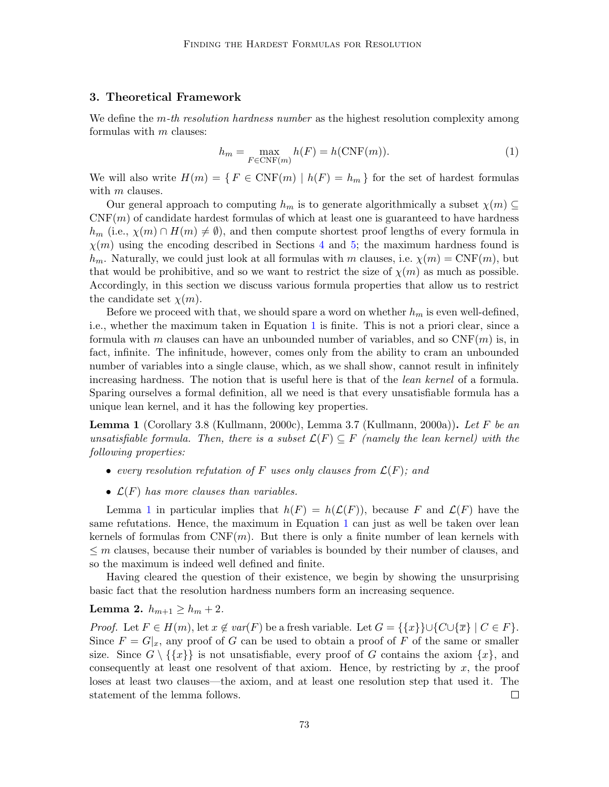## <span id="page-4-0"></span>3. Theoretical Framework

We define the *m-th resolution hardness number* as the highest resolution complexity among formulas with  $m$  clauses:

<span id="page-4-2"></span>
$$
h_m = \max_{F \in \text{CNF}(m)} h(F) = h(\text{CNF}(m)).\tag{1}
$$

We will also write  $H(m) = \{ F \in CNF(m) \mid h(F) = h_m \}$  for the set of hardest formulas with m clauses.

Our general approach to computing  $h_m$  is to generate algorithmically a subset  $\chi(m) \subseteq$  $CNF(m)$  of candidate hardest formulas of which at least one is guaranteed to have hardness  $h_m$  (i.e.,  $\chi(m) \cap H(m) \neq \emptyset$ ), and then compute shortest proof lengths of every formula in  $\chi(m)$  using the encoding described in Sections [4](#page-10-0) and [5;](#page-15-0) the maximum hardness found is  $h_m$ . Naturally, we could just look at all formulas with m clauses, i.e.  $\chi(m) = CNF(m)$ , but that would be prohibitive, and so we want to restrict the size of  $\chi(m)$  as much as possible. Accordingly, in this section we discuss various formula properties that allow us to restrict the candidate set  $\chi(m)$ .

Before we proceed with that, we should spare a word on whether  $h_m$  is even well-defined, i.e., whether the maximum taken in Equation [1](#page-4-2) is finite. This is not a priori clear, since a formula with m clauses can have an unbounded number of variables, and so  $CNF(m)$  is, in fact, infinite. The infinitude, however, comes only from the ability to cram an unbounded number of variables into a single clause, which, as we shall show, cannot result in infinitely increasing hardness. The notion that is useful here is that of the lean kernel of a formula. Sparing ourselves a formal definition, all we need is that every unsatisfiable formula has a unique lean kernel, and it has the following key properties.

<span id="page-4-3"></span>**Lemma 1** (Corollary 3.8 (Kullmann, 2000c), Lemma 3.7 (Kullmann, 2000a)). Let F be an unsatisfiable formula. Then, there is a subset  $\mathcal{L}(F) \subseteq F$  (namely the lean kernel) with the following properties:

- every resolution refutation of F uses only clauses from  $\mathcal{L}(F)$ ; and
- $\mathcal{L}(F)$  has more clauses than variables.

Lemma [1](#page-4-3) in particular implies that  $h(F) = h(\mathcal{L}(F))$ , because F and  $\mathcal{L}(F)$  have the same refutations. Hence, the maximum in Equation [1](#page-4-2) can just as well be taken over lean kernels of formulas from  $CNF(m)$ . But there is only a finite number of lean kernels with  $\leq$  m clauses, because their number of variables is bounded by their number of clauses, and so the maximum is indeed well defined and finite.

Having cleared the question of their existence, we begin by showing the unsurprising basic fact that the resolution hardness numbers form an increasing sequence.

#### <span id="page-4-1"></span>**Lemma 2.**  $h_{m+1} \ge h_m + 2$ .

*Proof.* Let  $F \in H(m)$ , let  $x \notin var(F)$  be a fresh variable. Let  $G = \{\{x\}\} \cup \{C \cup \{\overline{x}\} \mid C \in F\}$ . Since  $F = G|_x$ , any proof of G can be used to obtain a proof of F of the same or smaller size. Since  $G \setminus \{\{x\}\}\$ is not unsatisfiable, every proof of G contains the axiom  $\{x\}$ , and consequently at least one resolvent of that axiom. Hence, by restricting by  $x$ , the proof loses at least two clauses—the axiom, and at least one resolution step that used it. The statement of the lemma follows.  $\Box$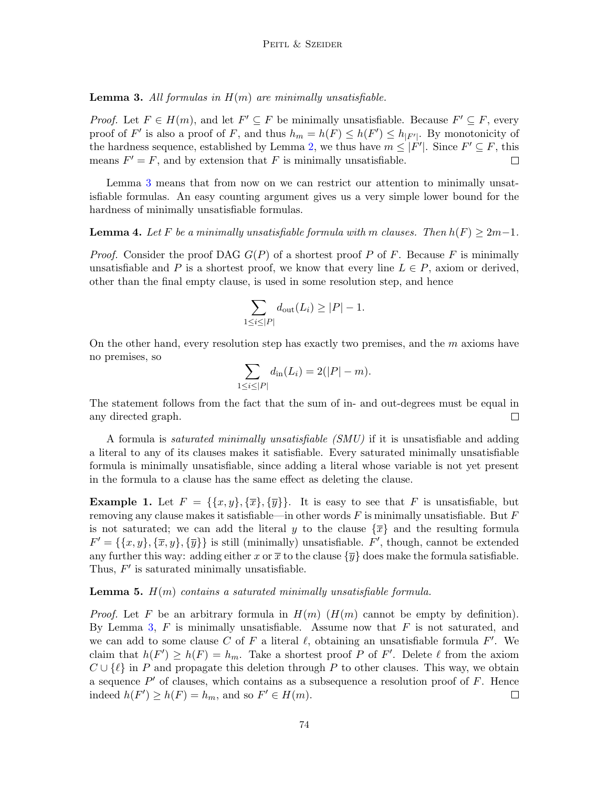<span id="page-5-0"></span>**Lemma 3.** All formulas in  $H(m)$  are minimally unsatisfiable.

*Proof.* Let  $F \in H(m)$ , and let  $F' \subseteq F$  be minimally unsatisfiable. Because  $F' \subseteq F$ , every proof of F' is also a proof of F, and thus  $h_m = h(F) \leq h(F') \leq h_{|F'|}$ . By monotonicity of the hardness sequence, established by Lemma [2,](#page-4-1) we thus have  $m \leq |\vec{F}'|$ . Since  $F' \subseteq F$ , this means  $F' = F$ , and by extension that F is minimally unsatisfiable. П

Lemma [3](#page-5-0) means that from now on we can restrict our attention to minimally unsatisfiable formulas. An easy counting argument gives us a very simple lower bound for the hardness of minimally unsatisfiable formulas.

<span id="page-5-1"></span>**Lemma 4.** Let F be a minimally unsatisfiable formula with m clauses. Then  $h(F) \geq 2m-1$ .

*Proof.* Consider the proof DAG  $G(P)$  of a shortest proof P of F. Because F is minimally unsatisfiable and P is a shortest proof, we know that every line  $L \in P$ , axiom or derived, other than the final empty clause, is used in some resolution step, and hence

$$
\sum_{1 \le i \le |P|} d_{\text{out}}(L_i) \ge |P| - 1.
$$

On the other hand, every resolution step has exactly two premises, and the  $m$  axioms have no premises, so

$$
\sum_{1 \le i \le |P|} d_{\text{in}}(L_i) = 2(|P| - m).
$$

The statement follows from the fact that the sum of in- and out-degrees must be equal in any directed graph.  $\Box$ 

A formula is saturated minimally unsatisfiable (SMU) if it is unsatisfiable and adding a literal to any of its clauses makes it satisfiable. Every saturated minimally unsatisfiable formula is minimally unsatisfiable, since adding a literal whose variable is not yet present in the formula to a clause has the same effect as deleting the clause.

**Example 1.** Let  $F = \{\{x, y\}, \{\overline{x}\}, \{\overline{y}\}\}\$ . It is easy to see that F is unsatisfiable, but removing any clause makes it satisfiable—in other words F is minimally unsatisfiable. But F is not saturated; we can add the literal y to the clause  $\{\overline{x}\}\$  and the resulting formula  $F' = \{\{x, y\}, \{\overline{x}, y\}, \{\overline{y}\}\}\$ is still (minimally) unsatisfiable. F', though, cannot be extended any further this way: adding either x or  $\bar{x}$  to the clause  $\{\bar{y}\}\$  does make the formula satisfiable. Thus,  $F'$  is saturated minimally unsatisfiable.

**Lemma 5.**  $H(m)$  contains a saturated minimally unsatisfiable formula.

*Proof.* Let F be an arbitrary formula in  $H(m)$  ( $H(m)$  cannot be empty by definition). By Lemma [3,](#page-5-0)  $F$  is minimally unsatisfiable. Assume now that  $F$  is not saturated, and we can add to some clause C of F a literal  $\ell$ , obtaining an unsatisfiable formula F'. We claim that  $h(F') \ge h(F) = h_m$ . Take a shortest proof P of F'. Delete  $\ell$  from the axiom  $C \cup \{\ell\}$  in P and propagate this deletion through P to other clauses. This way, we obtain a sequence  $P'$  of clauses, which contains as a subsequence a resolution proof of  $F$ . Hence indeed  $h(F') \ge h(F) = h_m$ , and so  $F' \in H(m)$ .  $\Box$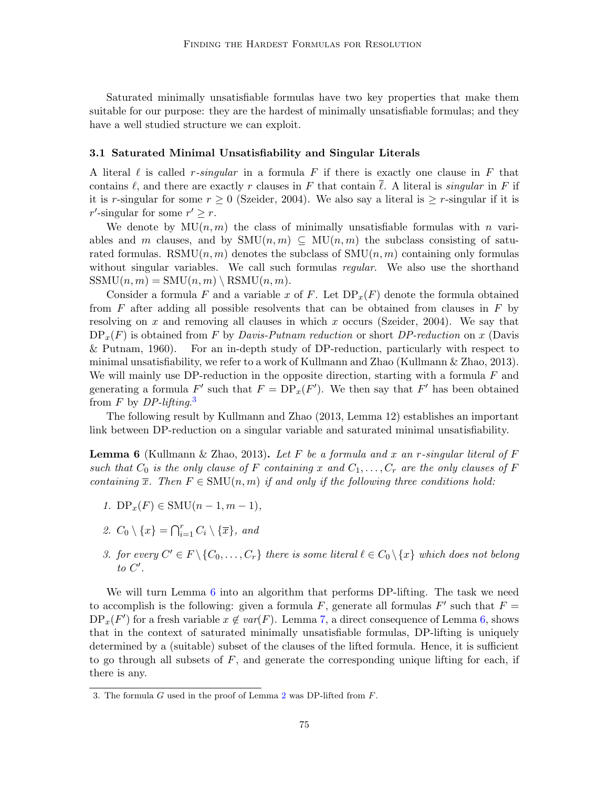Saturated minimally unsatisfiable formulas have two key properties that make them suitable for our purpose: they are the hardest of minimally unsatisfiable formulas; and they have a well studied structure we can exploit.

### 3.1 Saturated Minimal Unsatisfiability and Singular Literals

A literal  $\ell$  is called r-singular in a formula F if there is exactly one clause in F that contains  $\ell$ , and there are exactly r clauses in F that contain  $\overline{\ell}$ . A literal is singular in F if it is r-singular for some  $r \geq 0$  (Szeider, 2004). We also say a literal is  $\geq r$ -singular if it is r'-singular for some  $r' \geq r$ .

We denote by  $\text{MU}(n, m)$  the class of minimally unsatisfiable formulas with n variables and m clauses, and by  $\text{SMU}(n, m) \subseteq \text{MU}(n, m)$  the subclass consisting of saturated formulas. RSMU $(n, m)$  denotes the subclass of SMU $(n, m)$  containing only formulas without singular variables. We call such formulas *regular*. We also use the shorthand  $SSMU(n, m) = SMU(n, m) \ RSMU(n, m).$ 

Consider a formula F and a variable x of F. Let  $DP_x(F)$  denote the formula obtained from  $F$  after adding all possible resolvents that can be obtained from clauses in  $F$  by resolving on x and removing all clauses in which x occurs (Szeider, 2004). We say that  $DP_x(F)$  is obtained from F by Davis-Putnam reduction or short DP-reduction on x (Davis & Putnam, 1960). For an in-depth study of DP-reduction, particularly with respect to minimal unsatisfiability, we refer to a work of Kullmann and Zhao (Kullmann & Zhao, 2013). We will mainly use DP-reduction in the opposite direction, starting with a formula  $F$  and generating a formula F' such that  $F = DP_x(F')$ . We then say that F' has been obtained from F by DP-lifting.<sup>[3](#page-6-0)</sup>

The following result by Kullmann and Zhao (2013, Lemma 12) establishes an important link between DP-reduction on a singular variable and saturated minimal unsatisfiability.

<span id="page-6-1"></span>**Lemma 6** (Kullmann & Zhao, 2013). Let F be a formula and x an r-singular literal of F such that  $C_0$  is the only clause of F containing x and  $C_1, \ldots, C_r$  are the only clauses of F containing  $\overline{x}$ . Then  $F \in SMU(n, m)$  if and only if the following three conditions hold:

- 1.  $DP_x(F) \in SMU(n-1, m-1),$
- 2.  $C_0 \setminus \{x\} = \bigcap_{i=1}^r C_i \setminus \{\overline{x}\}, \text{ and}$
- 3. for every  $C' \in F \setminus \{C_0, \ldots, C_r\}$  there is some literal  $\ell \in C_0 \setminus \{x\}$  which does not belong  $to C'.$

We will turn Lemma [6](#page-6-1) into an algorithm that performs DP-lifting. The task we need to accomplish is the following: given a formula F, generate all formulas  $F'$  such that  $F =$  $DP_x(F')$  for a fresh variable  $x \notin var(F)$ . Lemma [7,](#page-7-0) a direct consequence of Lemma [6,](#page-6-1) shows that in the context of saturated minimally unsatisfiable formulas, DP-lifting is uniquely determined by a (suitable) subset of the clauses of the lifted formula. Hence, it is sufficient to go through all subsets of  $F$ , and generate the corresponding unique lifting for each, if there is any.

<span id="page-6-0"></span><sup>3.</sup> The formula G used in the proof of Lemma [2](#page-4-1) was DP-lifted from F.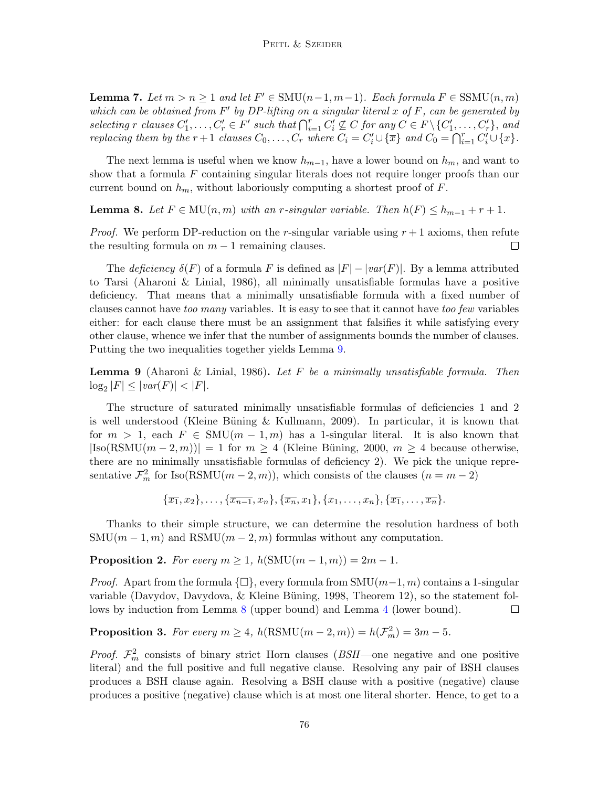<span id="page-7-0"></span>**Lemma 7.** Let  $m > n \geq 1$  and let  $F' \in SMU(n-1, m-1)$ . Each formula  $F \in SSMU(n, m)$ which can be obtained from  $F'$  by DP-lifting on a singular literal x of F, can be generated by selecting r clauses  $C'_1, \ldots, C'_r \in F'$  such that  $\bigcap_{i=1}^r C'_i \not\subseteq C$  for any  $C \in F \setminus \{C'_1, \ldots, C'_r\}$ , and replacing them by the  $r+1$  clauses  $C_0, \ldots, C_r$  where  $C_i = C'_i \cup \{\overline{x}\}$  and  $C_0 = \bigcap_{i=1}^r C'_i \cup \{x\}.$ 

The next lemma is useful when we know  $h_{m-1}$ , have a lower bound on  $h_m$ , and want to show that a formula  $F$  containing singular literals does not require longer proofs than our current bound on  $h_m$ , without laboriously computing a shortest proof of F.

<span id="page-7-2"></span>**Lemma 8.** Let  $F \in MU(n,m)$  with an r-singular variable. Then  $h(F) \leq h_{m-1} + r + 1$ .

*Proof.* We perform DP-reduction on the r-singular variable using  $r + 1$  axioms, then refute the resulting formula on  $m-1$  remaining clauses. □

The deficiency  $\delta(F)$  of a formula F is defined as  $|F| - |var(F)|$ . By a lemma attributed to Tarsi (Aharoni & Linial, 1986), all minimally unsatisfiable formulas have a positive deficiency. That means that a minimally unsatisfiable formula with a fixed number of clauses cannot have too many variables. It is easy to see that it cannot have too few variables either: for each clause there must be an assignment that falsifies it while satisfying every other clause, whence we infer that the number of assignments bounds the number of clauses. Putting the two inequalities together yields Lemma [9.](#page-7-1)

<span id="page-7-1"></span>**Lemma 9** (Aharoni & Linial, 1986). Let F be a minimally unsatisfiable formula. Then  $\log_2 |F| \leq |var(F)| < |F|.$ 

The structure of saturated minimally unsatisfiable formulas of deficiencies 1 and 2 is well understood (Kleine Büning & Kullmann, 2009). In particular, it is known that for  $m > 1$ , each  $F \in SMU(m-1,m)$  has a 1-singular literal. It is also known that  $|\text{Iso}(RSMU(m-2,m))|=1$  for  $m \geq 4$  (Kleine Büning, 2000,  $m \geq 4$  because otherwise, there are no minimally unsatisfiable formulas of deficiency 2). We pick the unique representative  $\mathcal{F}_m^2$  for Iso(RSMU $(m-2, m)$ ), which consists of the clauses  $(n = m - 2)$ 

$$
\{\overline{x_1}, x_2\}, \ldots, \{\overline{x_{n-1}}, x_n\}, \{\overline{x_n}, x_1\}, \{x_1, \ldots, x_n\}, \{\overline{x_1}, \ldots, \overline{x_n}\}.
$$

Thanks to their simple structure, we can determine the resolution hardness of both  $\text{SMU}(m-1,m)$  and  $\text{RSMU}(m-2,m)$  formulas without any computation.

<span id="page-7-3"></span>**Proposition 2.** For every  $m \geq 1$ ,  $h(SMU(m-1,m)) = 2m - 1$ .

*Proof.* Apart from the formula  $\{\Box\}$ , every formula from SMU $(m-1, m)$  contains a 1-singular variable (Davydov, Davydova,  $\&$  Kleine Büning, 1998, Theorem 12), so the statement follows by induction from Lemma [8](#page-7-2) (upper bound) and Lemma [4](#page-5-1) (lower bound).  $\Box$ 

<span id="page-7-4"></span>**Proposition 3.** For every  $m \ge 4$ ,  $h(RSMU(m-2,m)) = h(\mathcal{F}_m^2) = 3m - 5$ .

*Proof.*  $\mathcal{F}_m^2$  consists of binary strict Horn clauses (*BSH*—one negative and one positive literal) and the full positive and full negative clause. Resolving any pair of BSH clauses produces a BSH clause again. Resolving a BSH clause with a positive (negative) clause produces a positive (negative) clause which is at most one literal shorter. Hence, to get to a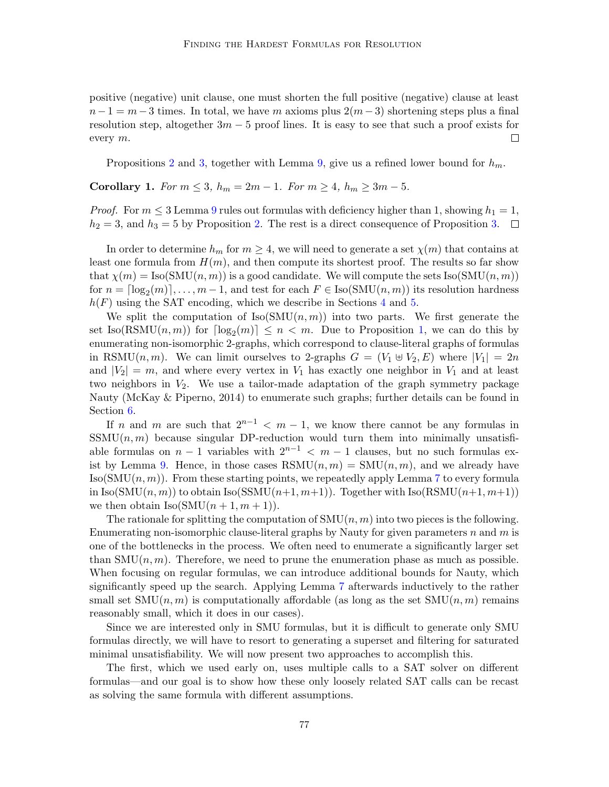positive (negative) unit clause, one must shorten the full positive (negative) clause at least  $n-1 = m-3$  times. In total, we have m axioms plus  $2(m-3)$  shortening steps plus a final resolution step, altogether  $3m - 5$  proof lines. It is easy to see that such a proof exists for every m. □

Propositions [2](#page-7-3) and [3,](#page-7-4) together with Lemma [9,](#page-7-1) give us a refined lower bound for  $h_m$ .

Corollary 1. For  $m \leq 3$ ,  $h_m = 2m - 1$ . For  $m \geq 4$ ,  $h_m \geq 3m - 5$ .

*Proof.* For  $m \leq 3$  Lemma [9](#page-7-1) rules out formulas with deficiency higher than 1, showing  $h_1 = 1$ ,  $h_2 = 3$ , and  $h_3 = 5$  by Proposition [2.](#page-7-3) The rest is a direct consequence of Proposition [3.](#page-7-4)  $\Box$ 

In order to determine  $h_m$  for  $m \geq 4$ , we will need to generate a set  $\chi(m)$  that contains at least one formula from  $H(m)$ , and then compute its shortest proof. The results so far show that  $\chi(m) = \text{Iso}(\text{SMU}(n, m))$  is a good candidate. We will compute the sets  $\text{Iso}(\text{SMU}(n, m))$ for  $n = \lceil \log_2(m) \rceil, \ldots, m - 1$ , and test for each  $F \in \text{Iso}(\text{SMU}(n, m))$  its resolution hardness  $h(F)$  using the SAT encoding, which we describe in Sections [4](#page-10-0) and [5.](#page-15-0)

We split the computation of  $\text{Iso}(\text{SMU}(n,m))$  into two parts. We first generate the set Iso(RSMU $(n, m)$ ) for  $\lceil \log_2(m) \rceil \leq n < m$ . Due to Proposition [1,](#page-3-0) we can do this by enumerating non-isomorphic 2-graphs, which correspond to clause-literal graphs of formulas in RSMU $(n, m)$ . We can limit ourselves to 2-graphs  $G = (V_1 \oplus V_2, E)$  where  $|V_1| = 2n$ and  $|V_2| = m$ , and where every vertex in  $V_1$  has exactly one neighbor in  $V_1$  and at least two neighbors in  $V_2$ . We use a tailor-made adaptation of the graph symmetry package Nauty (McKay & Piperno, 2014) to enumerate such graphs; further details can be found in Section [6.](#page-17-0)

If n and m are such that  $2^{n-1} < m-1$ , we know there cannot be any formulas in SSMU $(n, m)$  because singular DP-reduction would turn them into minimally unsatisfiable formulas on  $n-1$  variables with  $2^{n-1} < m-1$  clauses, but no such formulas ex-ist by Lemma [9.](#page-7-1) Hence, in those cases  $\text{RSMU}(n,m) = \text{SMU}(n,m)$ , and we already have  $Iso(SMU(n, m))$ . From these starting points, we repeatedly apply Lemma [7](#page-7-0) to every formula in Iso(SMU $(n, m)$ ) to obtain Iso(SSMU $(n+1, m+1)$ ). Together with Iso(RSMU $(n+1, m+1)$ ) we then obtain  $\text{Iso}(SMU(n+1, m+1)).$ 

The rationale for splitting the computation of  $\text{SMU}(n, m)$  into two pieces is the following. Enumerating non-isomorphic clause-literal graphs by Nauty for given parameters n and  $m$  is one of the bottlenecks in the process. We often need to enumerate a significantly larger set than  $\text{SMU}(n, m)$ . Therefore, we need to prune the enumeration phase as much as possible. When focusing on regular formulas, we can introduce additional bounds for Nauty, which significantly speed up the search. Applying Lemma [7](#page-7-0) afterwards inductively to the rather small set  $\text{SMU}(n,m)$  is computationally affordable (as long as the set  $\text{SMU}(n,m)$  remains reasonably small, which it does in our cases).

Since we are interested only in SMU formulas, but it is difficult to generate only SMU formulas directly, we will have to resort to generating a superset and filtering for saturated minimal unsatisfiability. We will now present two approaches to accomplish this.

The first, which we used early on, uses multiple calls to a SAT solver on different formulas—and our goal is to show how these only loosely related SAT calls can be recast as solving the same formula with different assumptions.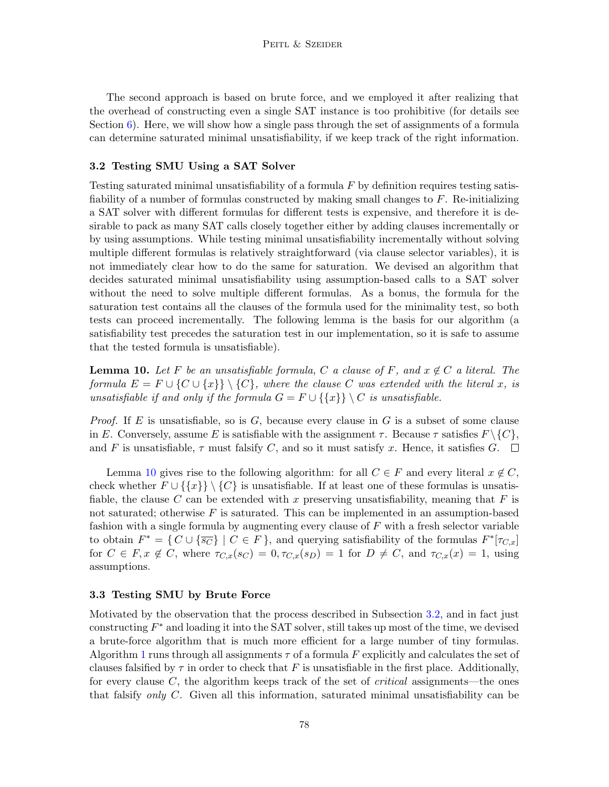The second approach is based on brute force, and we employed it after realizing that the overhead of constructing even a single SAT instance is too prohibitive (for details see Section  $6$ ). Here, we will show how a single pass through the set of assignments of a formula can determine saturated minimal unsatisfiability, if we keep track of the right information.

## <span id="page-9-1"></span>3.2 Testing SMU Using a SAT Solver

Testing saturated minimal unsatisfiability of a formula  $F$  by definition requires testing satisfiability of a number of formulas constructed by making small changes to  $F$ . Re-initializing a SAT solver with different formulas for different tests is expensive, and therefore it is desirable to pack as many SAT calls closely together either by adding clauses incrementally or by using assumptions. While testing minimal unsatisfiability incrementally without solving multiple different formulas is relatively straightforward (via clause selector variables), it is not immediately clear how to do the same for saturation. We devised an algorithm that decides saturated minimal unsatisfiability using assumption-based calls to a SAT solver without the need to solve multiple different formulas. As a bonus, the formula for the saturation test contains all the clauses of the formula used for the minimality test, so both tests can proceed incrementally. The following lemma is the basis for our algorithm (a satisfiability test precedes the saturation test in our implementation, so it is safe to assume that the tested formula is unsatisfiable).

<span id="page-9-0"></span>**Lemma 10.** Let F be an unsatisfiable formula, C a clause of F, and  $x \notin C$  a literal. The formula  $E = F \cup \{C \cup \{x\}\}\ \setminus \{C\}$ , where the clause C was extended with the literal x, is unsatisfiable if and only if the formula  $G = F \cup \{\{x\}\}\setminus C$  is unsatisfiable.

*Proof.* If E is unsatisfiable, so is  $G$ , because every clause in  $G$  is a subset of some clause in E. Conversely, assume E is satisfiable with the assignment  $\tau$ . Because  $\tau$  satisfies  $F \setminus \{C\}$ , and F is unsatisfiable,  $\tau$  must falsify C, and so it must satisfy x. Hence, it satisfies G.  $\Box$ 

Lemma [10](#page-9-0) gives rise to the following algorithm: for all  $C \in F$  and every literal  $x \notin C$ , check whether  $F \cup \{\{x\}\}\ \{C\}$  is unsatisfiable. If at least one of these formulas is unsatisfiable, the clause C can be extended with x preserving unsatisfiability, meaning that F is not saturated; otherwise  $F$  is saturated. This can be implemented in an assumption-based fashion with a single formula by augmenting every clause of  $F$  with a fresh selector variable to obtain  $F^* = \{ C \cup \{ \overline{s_C} \} \mid C \in F \}$ , and querying satisfiability of the formulas  $F^*[\tau_{C,x}]$ for  $C \in F$ ,  $x \notin C$ , where  $\tau_{C,x}(s_C) = 0$ ,  $\tau_{C,x}(s_D) = 1$  for  $D \neq C$ , and  $\tau_{C,x}(x) = 1$ , using assumptions.

## 3.3 Testing SMU by Brute Force

Motivated by the observation that the process described in Subsection [3.2,](#page-9-1) and in fact just constructing  $F^*$  and loading it into the SAT solver, still takes up most of the time, we devised a brute-force algorithm that is much more efficient for a large number of tiny formulas. Algorithm [1](#page-11-0) runs through all assignments  $\tau$  of a formula F explicitly and calculates the set of clauses falsified by  $\tau$  in order to check that F is unsatisfiable in the first place. Additionally, for every clause C, the algorithm keeps track of the set of *critical* assignments—the ones that falsify only C. Given all this information, saturated minimal unsatisfiability can be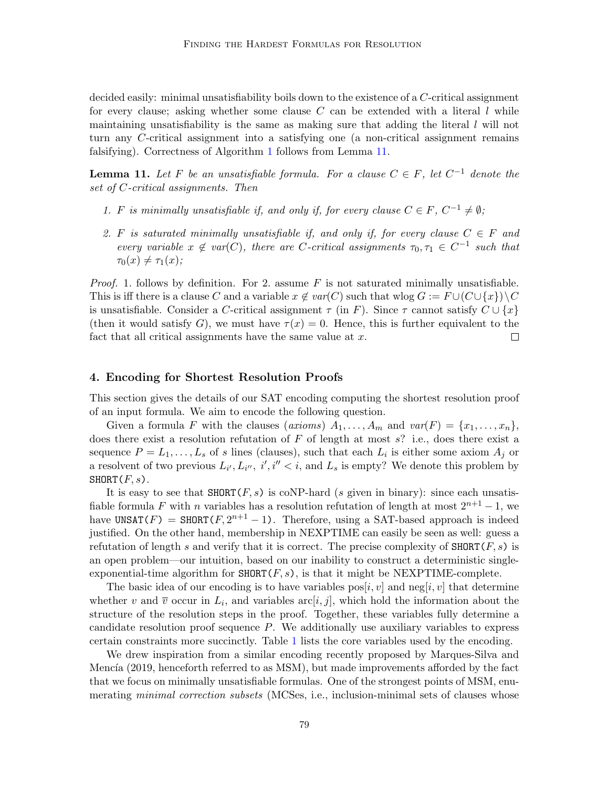decided easily: minimal unsatisfiability boils down to the existence of a C-critical assignment for every clause; asking whether some clause C can be extended with a literal  $l$  while maintaining unsatisfiability is the same as making sure that adding the literal  $l$  will not turn any C-critical assignment into a satisfying one (a non-critical assignment remains falsifying). Correctness of Algorithm [1](#page-11-0) follows from Lemma [11.](#page-10-1)

<span id="page-10-1"></span>**Lemma 11.** Let F be an unsatisfiable formula. For a clause  $C \in F$ , let  $C^{-1}$  denote the set of C-critical assignments. Then

- 1. F is minimally unsatisfiable if, and only if, for every clause  $C \in F$ ,  $C^{-1} \neq \emptyset$ ;
- 2. F is saturated minimally unsatisfiable if, and only if, for every clause  $C \in F$  and every variable  $x \notin \text{var}(C)$ , there are C-critical assignments  $\tau_0, \tau_1 \in C^{-1}$  such that  $\tau_0(x) \neq \tau_1(x);$

*Proof.* 1. follows by definition. For 2. assume  $F$  is not saturated minimally unsatisfiable. This is iff there is a clause C and a variable  $x \notin var(C)$  such that wlog  $G := F \cup (C \cup \{x\}) \setminus C$ is unsatisfiable. Consider a C-critical assignment  $\tau$  (in F). Since  $\tau$  cannot satisfy  $C \cup \{x\}$ (then it would satisfy G), we must have  $\tau(x) = 0$ . Hence, this is further equivalent to the fact that all critical assignments have the same value at  $x$ .  $\Box$ 

#### <span id="page-10-0"></span>4. Encoding for Shortest Resolution Proofs

This section gives the details of our SAT encoding computing the shortest resolution proof of an input formula. We aim to encode the following question.

Given a formula F with the clauses (axioms)  $A_1, \ldots, A_m$  and  $var(F) = \{x_1, \ldots, x_n\}$ , does there exist a resolution refutation of  $F$  of length at most  $s$ ? i.e., does there exist a sequence  $P = L_1, \ldots, L_s$  of s lines (clauses), such that each  $L_i$  is either some axiom  $A_j$  or a resolvent of two previous  $L_{i'}, L_{i''}, i', i'' < i$ , and  $L_s$  is empty? We denote this problem by  $SHORT(F, s)$ .

It is easy to see that  $\texttt{SHORT}(F, s)$  is coNP-hard (s given in binary): since each unsatisfiable formula F with n variables has a resolution refutation of length at most  $2^{n+1} - 1$ , we have UNSAT(F) = SHORT(F,  $2^{n+1} - 1$ ). Therefore, using a SAT-based approach is indeed justified. On the other hand, membership in NEXPTIME can easily be seen as well: guess a refutation of length s and verify that it is correct. The precise complexity of  $\text{SHORT}(F, s)$  is an open problem—our intuition, based on our inability to construct a deterministic singleexponential-time algorithm for  $\texttt{SHORT}(F, s)$ , is that it might be NEXPTIME-complete.

The basic idea of our encoding is to have variables  $\cos[i, v]$  and  $\operatorname{neg}[i, v]$  that determine whether v and  $\overline{v}$  occur in  $L_i$ , and variables arc $[i, j]$ , which hold the information about the structure of the resolution steps in the proof. Together, these variables fully determine a candidate resolution proof sequence  $P$ . We additionally use auxiliary variables to express certain constraints more succinctly. Table [1](#page-12-0) lists the core variables used by the encoding.

We drew inspiration from a similar encoding recently proposed by Marques-Silva and Mencía (2019, henceforth referred to as MSM), but made improvements afforded by the fact that we focus on minimally unsatisfiable formulas. One of the strongest points of MSM, enumerating *minimal correction subsets* (MCSes, i.e., inclusion-minimal sets of clauses whose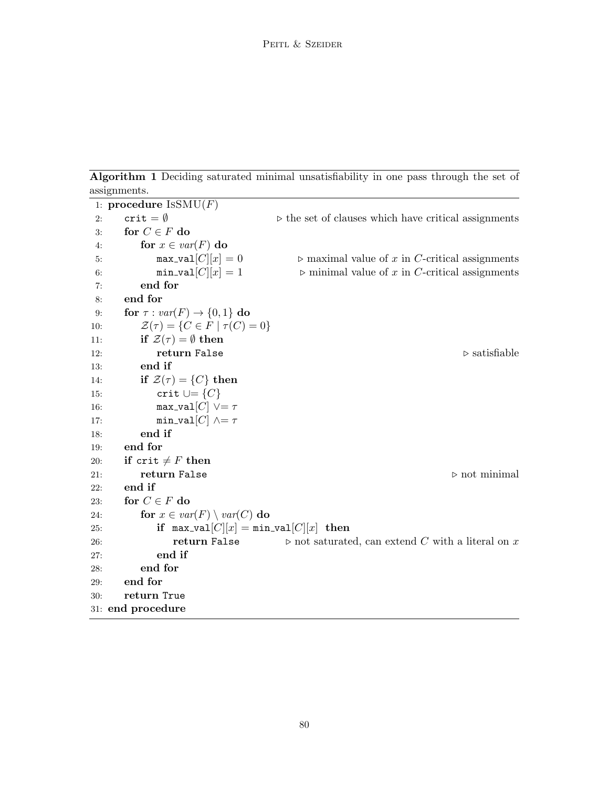Algorithm 1 Deciding saturated minimal unsatisfiability in one pass through the set of assignments.

<span id="page-11-0"></span>

|     | 1: procedure $\operatorname{ISSMU}(F)$             |                                                                     |
|-----|----------------------------------------------------|---------------------------------------------------------------------|
| 2:  | $\text{crit} = \emptyset$                          | $\triangleright$ the set of clauses which have critical assignments |
| 3:  | for $C \in F$ do                                   |                                                                     |
| 4:  | for $x \in var(F)$ do                              |                                                                     |
| 5:  | $max_vual[C][x] = 0$                               | $\triangleright$ maximal value of x in C-critical assignments       |
| 6:  | $min\_val[C][x] = 1$                               | $\triangleright$ minimal value of x in C-critical assignments       |
| 7:  | end for                                            |                                                                     |
| 8:  | end for                                            |                                                                     |
| 9:  | for $\tau : var(F) \rightarrow \{0,1\}$ do         |                                                                     |
| 10: | $\mathcal{Z}(\tau) = \{C \in F \mid \tau(C) = 0\}$ |                                                                     |
| 11: | if $\mathcal{Z}(\tau) = \emptyset$ then            |                                                                     |
| 12: | return False                                       | $\triangleright$ satisfiable                                        |
| 13: | end if                                             |                                                                     |
| 14: | if $\mathcal{Z}(\tau) = \{C\}$ then                |                                                                     |
| 15: | crit $\cup = \{C\}$                                |                                                                     |
| 16: | $max\_val[C]$ $\vee = \tau$                        |                                                                     |
| 17: | min_val $[C] \wedge = \tau$                        |                                                                     |
| 18: | end if                                             |                                                                     |
| 19: | end for                                            |                                                                     |
| 20: | if crit $\neq F$ then                              |                                                                     |
| 21: | return False                                       | $\triangleright$ not minimal                                        |
| 22: | end if                                             |                                                                     |
| 23: | for $C \in F$ do                                   |                                                                     |
| 24: | for $x \in var(F) \setminus var(C)$ do             |                                                                     |
| 25: | if $max_val[C][x] = min_val[C][x]$ then            |                                                                     |
| 26: | return False                                       | $\triangleright$ not saturated, can extend C with a literal on x    |
| 27: | end if                                             |                                                                     |
| 28: | end for                                            |                                                                     |
| 29: | end for                                            |                                                                     |
| 30: | return True                                        |                                                                     |
|     | 31: end procedure                                  |                                                                     |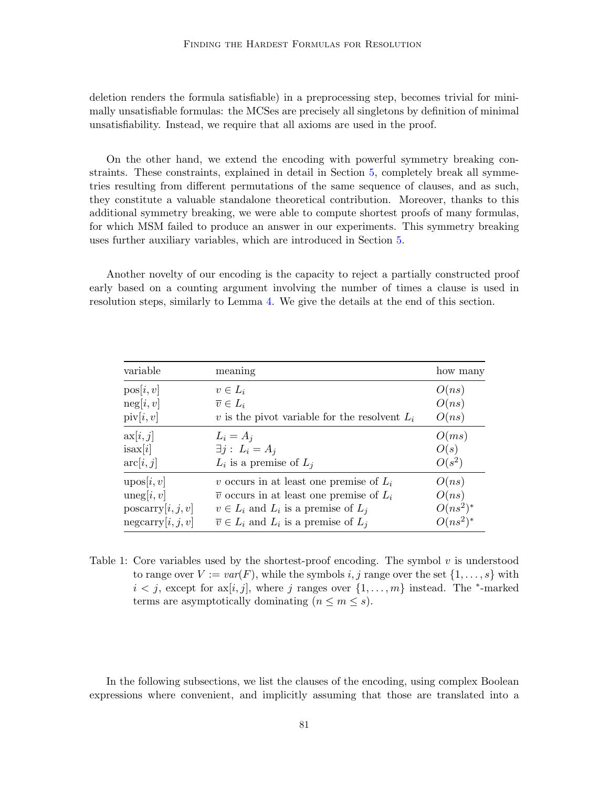deletion renders the formula satisfiable) in a preprocessing step, becomes trivial for minimally unsatisfiable formulas: the MCSes are precisely all singletons by definition of minimal unsatisfiability. Instead, we require that all axioms are used in the proof.

On the other hand, we extend the encoding with powerful symmetry breaking constraints. These constraints, explained in detail in Section [5,](#page-15-0) completely break all symmetries resulting from different permutations of the same sequence of clauses, and as such, they constitute a valuable standalone theoretical contribution. Moreover, thanks to this additional symmetry breaking, we were able to compute shortest proofs of many formulas, for which MSM failed to produce an answer in our experiments. This symmetry breaking uses further auxiliary variables, which are introduced in Section [5.](#page-15-0)

Another novelty of our encoding is the capacity to reject a partially constructed proof early based on a counting argument involving the number of times a clause is used in resolution steps, similarly to Lemma [4.](#page-5-1) We give the details at the end of this section.

| variable                     | meaning                                                | how many    |
|------------------------------|--------------------------------------------------------|-------------|
| pos[i, v]                    | $v \in L_i$                                            | O(ns)       |
| neg[i, v]                    | $\overline{v} \in L_i$                                 | O(ns)       |
| $\text{piv}[i, v]$           | v is the pivot variable for the resolvent $L_i$        | O(ns)       |
| ax[i, j]                     | $L_i = A_j$                                            | O(ms)       |
| isax[i]                      | $\exists j: L_i = A_j$                                 | O(s)        |
| arc[i, j]                    | $L_i$ is a premise of $L_i$                            | $O(s^2)$    |
| $\text{upos}[i, v]$          | v occurs in at least one premise of $L_i$              | O(ns)       |
| $\text{uneg}[i, v]$          | $\overline{v}$ occurs in at least one premise of $L_i$ | O(ns)       |
| $\mathbf{poscarry}[i, j, v]$ | $v \in L_i$ and $L_i$ is a premise of $L_i$            | $O(ns^2)^*$ |
| $\text{negcarry}[i, j, v]$   | $\overline{v} \in L_i$ and $L_i$ is a premise of $L_i$ | $O(ns^2)^*$ |

<span id="page-12-0"></span>Table 1: Core variables used by the shortest-proof encoding. The symbol  $v$  is understood to range over  $V := var(F)$ , while the symbols i, j range over the set  $\{1, \ldots, s\}$  with  $i < j$ , except for ax $[i, j]$ , where j ranges over  $\{1, \ldots, m\}$  instead. The <sup>\*</sup>-marked terms are asymptotically dominating  $(n \leq m \leq s)$ .

In the following subsections, we list the clauses of the encoding, using complex Boolean expressions where convenient, and implicitly assuming that those are translated into a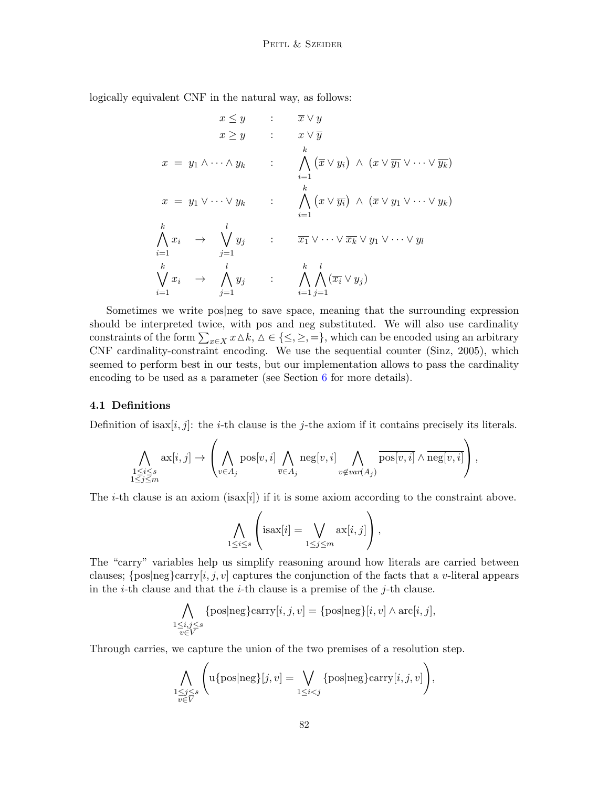logically equivalent CNF in the natural way, as follows:

$$
x \leq y : \overline{x} \vee y
$$
  
\n
$$
x \geq y : x \vee \overline{y}
$$
  
\n
$$
x = y_1 \wedge \cdots \wedge y_k : \bigwedge_{i=1}^k (\overline{x} \vee y_i) \wedge (x \vee \overline{y_1} \vee \cdots \vee \overline{y_k})
$$
  
\n
$$
x = y_1 \vee \cdots \vee y_k : \bigwedge_{i=1}^k (x \vee \overline{y_i}) \wedge (\overline{x} \vee y_1 \vee \cdots \vee y_k)
$$
  
\n
$$
\bigwedge_{i=1}^k x_i \rightarrow \bigvee_{j=1}^l y_j : \overline{x_1} \vee \cdots \vee \overline{x_k} \vee y_1 \vee \cdots \vee y_l
$$
  
\n
$$
\bigvee_{i=1}^k x_i \rightarrow \bigwedge_{j=1}^l y_j : \bigwedge_{i=1}^k \bigwedge_{j=1}^k (\overline{x_i} \vee y_j)
$$

Sometimes we write pos|neg to save space, meaning that the surrounding expression should be interpreted twice, with pos and neg substituted. We will also use cardinality constraints of the form  $\sum_{x \in X} x \Delta k$ ,  $\Delta \in \{\leq, \geq, =\}$ , which can be encoded using an arbitrary CNF cardinality-constraint encoding. We use the sequential counter (Sinz, 2005), which seemed to perform best in our tests, but our implementation allows to pass the cardinality encoding to be used as a parameter (see Section [6](#page-17-0) for more details).

#### 4.1 Definitions

Definition of isax $[i, j]$ : the *i*-th clause is the *j*-the axiom if it contains precisely its literals.

$$
\bigwedge_{\substack{1 \leq i \leq s \\ 1 \leq j \leq m}} ax[i,j] \rightarrow \left(\bigwedge_{v \in A_j} pos[v,i] \bigwedge_{\overline{v} \in A_j} neg[v,i] \bigwedge_{v \notin var(A_j)} \overline{pos[v,i]} \wedge \overline{neg[v,i]}\right),
$$

The *i*-th clause is an axiom (isax[*i*]) if it is some axiom according to the constraint above.

$$
\bigwedge_{1 \leq i \leq s} \left( \text{isax}[i] = \bigvee_{1 \leq j \leq m} \text{ax}[i, j] \right),
$$

The "carry" variables help us simplify reasoning around how literals are carried between clauses;  $\{\cos\left(\frac{\pi i}{i}, j, v\right) \}$  captures the conjunction of the facts that a v-literal appears in the *i*-th clause and that the *i*-th clause is a premise of the *j*-th clause.

$$
\bigwedge_{\substack{1 \leq i,j \leq s \\ v \in V}} \{ \text{pos} | \text{neg} \} \text{carry}[i,j,v] = \{ \text{pos} | \text{neg} \} [i,v] \wedge \text{arc}[i,j],
$$

Through carries, we capture the union of the two premises of a resolution step.

$$
\bigwedge_{\substack{1 \leq j \leq s \\ v \in V}} \Biggl(u\{\text{pos}|\text{neg}\}[j, v] = \bigvee_{1 \leq i < j} \{\text{pos}|\text{neg}\}\text{carry}[i, j, v]\Biggr),
$$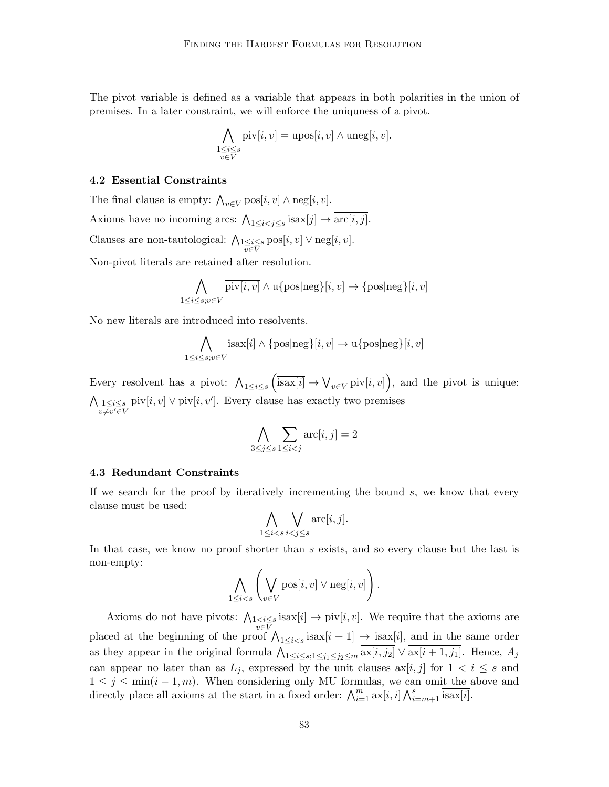The pivot variable is defined as a variable that appears in both polarities in the union of premises. In a later constraint, we will enforce the uniquness of a pivot.

$$
\bigwedge_{\substack{1 \le i \le s \\ v \in V}} \text{piv}[i, v] = \text{upos}[i, v] \land \text{uneg}[i, v].
$$

#### 4.2 Essential Constraints

The final clause is empty:  $\bigwedge_{v \in V} \text{pos}[i, v] \wedge \text{neg}[i, v]$ . Axioms have no incoming arcs:  $\bigwedge_{1 \leq i < j \leq s} i \text{isax}[j] \rightarrow \text{arc}[i, j].$ Clauses are non-tautological:  $\bigwedge_{\substack{1 \leq i \leq s \\ v \in V}}$  $pos[i, v] \vee neg[i, v].$ Non-pivot literals are retained after resolution.

$$
\bigwedge_{1 \leq i \leq s; v \in V} \overline{\text{piv}[i, v]} \land \text{u} \{ \text{pos} | \text{neg} \} [i, v] \rightarrow \{ \text{pos} | \text{neg} \} [i, v]
$$

No new literals are introduced into resolvents.

$$
\bigwedge_{1 \leq i \leq s; v \in V} \overline{\text{isax}[i]} \land \{\text{pos} | \text{neg}\}[i, v] \rightarrow u\{\text{pos} | \text{neg}\}[i, v]
$$

Every resolvent has a pivot:  $\bigwedge_{1 \leq i \leq s} \left( \overline{\text{isax}[i]} \to \bigvee_{v \in V} \text{piv}[i, v] \right)$ , and the pivot is unique:  $\bigwedge_1 \leq i \leq s$  $v \neq v' \in V$  $\overline{\text{piv}}[i, v] \vee \overline{\text{piv}}[i, v']$ . Every clause has exactly two premises

$$
\bigwedge_{3\leq j\leq s}\sum_{1\leq i
$$

#### 4.3 Redundant Constraints

If we search for the proof by iteratively incrementing the bound  $s$ , we know that every clause must be used:

$$
\bigwedge_{1 \leq i < s} \bigvee_{i < j \leq s} \operatorname{arc}[i, j].
$$

In that case, we know no proof shorter than s exists, and so every clause but the last is non-empty:

$$
\bigwedge_{1\leq i
$$

Axioms do not have pivots:  $\bigwedge_{\substack{1 \leq i \leq s \\ v \in V}}$  $\text{isax}[i] \rightarrow \text{piv}[i, v]$ . We require that the axioms are placed at the beginning of the proof  $\bigwedge_{1 \leq i < s} i \in [i+1] \rightarrow i \infty$  is ax $[i]$ , and in the same order as they appear in the original formula  $\bigwedge_{1 \leq i \leq s; 1 \leq j_1 \leq j_2 \leq m} ax[i, j_2] \vee ax[i+1, j_1]$ . Hence,  $A_j$ can appear no later than as  $L_j$ , expressed by the unit clauses  $\overline{\text{ax}[i,j]}$  for  $1 \leq i \leq s$  and  $1 \leq j \leq \min(i-1,m)$ . When considering only MU formulas, we can omit the above and directly place all axioms at the start in a fixed order:  $\bigwedge_{i=1}^{m} \text{ax}[i, i] \bigwedge_{i=m+1}^{s} \overline{\text{isax}[i]}$ .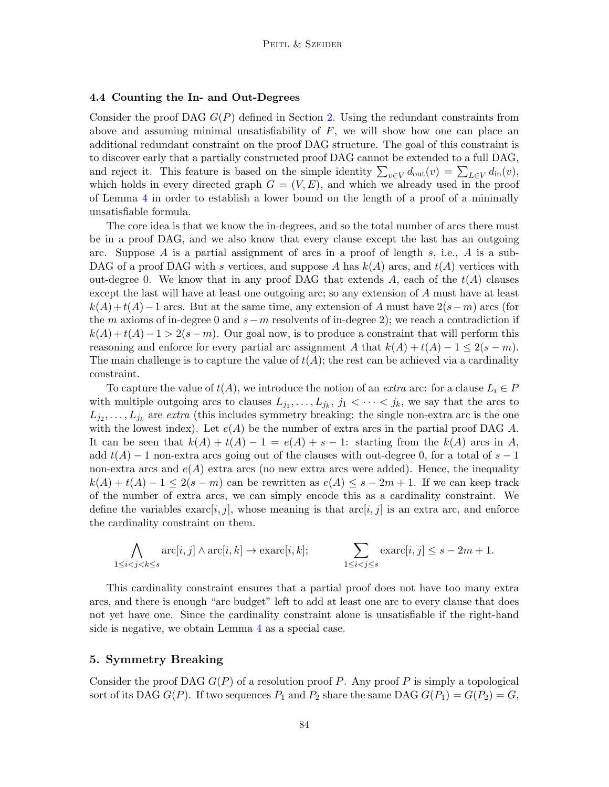#### 4.4 Counting the In- and Out-Degrees

Consider the proof DAG  $G(P)$  defined in Section [2.](#page-2-0) Using the redundant constraints from above and assuming minimal unsatisfiability of  $F$ , we will show how one can place an additional redundant constraint on the proof DAG structure. The goal of this constraint is to discover early that a partially constructed proof DAG cannot be extended to a full DAG, and reject it. This feature is based on the simple identity  $\sum_{v \in V} d_{\text{out}}(v) = \sum_{L \in V} d_{\text{in}}(v)$ , which holds in every directed graph  $G = (V, E)$ , and which we already used in the proof of Lemma [4](#page-5-1) in order to establish a lower bound on the length of a proof of a minimally unsatisfiable formula.

The core idea is that we know the in-degrees, and so the total number of arcs there must be in a proof DAG, and we also know that every clause except the last has an outgoing arc. Suppose A is a partial assignment of arcs in a proof of length s, i.e., A is a sub-DAG of a proof DAG with s vertices, and suppose A has  $k(A)$  arcs, and  $t(A)$  vertices with out-degree 0. We know that in any proof DAG that extends A, each of the  $t(A)$  clauses except the last will have at least one outgoing arc; so any extension of A must have at least  $k(A)+t(A)-1$  arcs. But at the same time, any extension of A must have  $2(s-m)$  arcs (for the m axioms of in-degree 0 and  $s-m$  resolvents of in-degree 2); we reach a contradiction if  $k(A) + t(A) - 1 > 2(s - m)$ . Our goal now, is to produce a constraint that will perform this reasoning and enforce for every partial arc assignment A that  $k(A) + t(A) - 1 \leq 2(s - m)$ . The main challenge is to capture the value of  $t(A)$ ; the rest can be achieved via a cardinality constraint.

To capture the value of  $t(A)$ , we introduce the notion of an *extra* arc: for a clause  $L_i \in P$ with multiple outgoing arcs to clauses  $L_{j_1}, \ldots, L_{j_k}, j_1 < \cdots < j_k$ , we say that the arcs to  $L_{j_2}, \ldots, L_{j_k}$  are *extra* (this includes symmetry breaking: the single non-extra arc is the one with the lowest index). Let  $e(A)$  be the number of extra arcs in the partial proof DAG A. It can be seen that  $k(A) + t(A) - 1 = e(A) + s - 1$ : starting from the  $k(A)$  arcs in A, add  $t(A) - 1$  non-extra arcs going out of the clauses with out-degree 0, for a total of  $s - 1$ non-extra arcs and  $e(A)$  extra arcs (no new extra arcs were added). Hence, the inequality  $k(A) + t(A) - 1 \leq 2(s-m)$  can be rewritten as  $e(A) \leq s - 2m + 1$ . If we can keep track of the number of extra arcs, we can simply encode this as a cardinality constraint. We define the variables  $\exp[i, j]$ , whose meaning is that  $\arg[i, j]$  is an extra arc, and enforce the cardinality constraint on them.

$$
\bigwedge_{1 \le i < j < k \le s} \text{arc}[i, j] \land \text{arc}[i, k] \to \text{exact}[i, k]; \qquad \sum_{1 \le i < j \le s} \text{exact}[i, j] \le s - 2m + 1.
$$

This cardinality constraint ensures that a partial proof does not have too many extra arcs, and there is enough "arc budget" left to add at least one arc to every clause that does not yet have one. Since the cardinality constraint alone is unsatisfiable if the right-hand side is negative, we obtain Lemma [4](#page-5-1) as a special case.

## <span id="page-15-0"></span>5. Symmetry Breaking

Consider the proof DAG  $G(P)$  of a resolution proof P. Any proof P is simply a topological sort of its DAG  $G(P)$ . If two sequences  $P_1$  and  $P_2$  share the same DAG  $G(P_1) = G(P_2) = G$ ,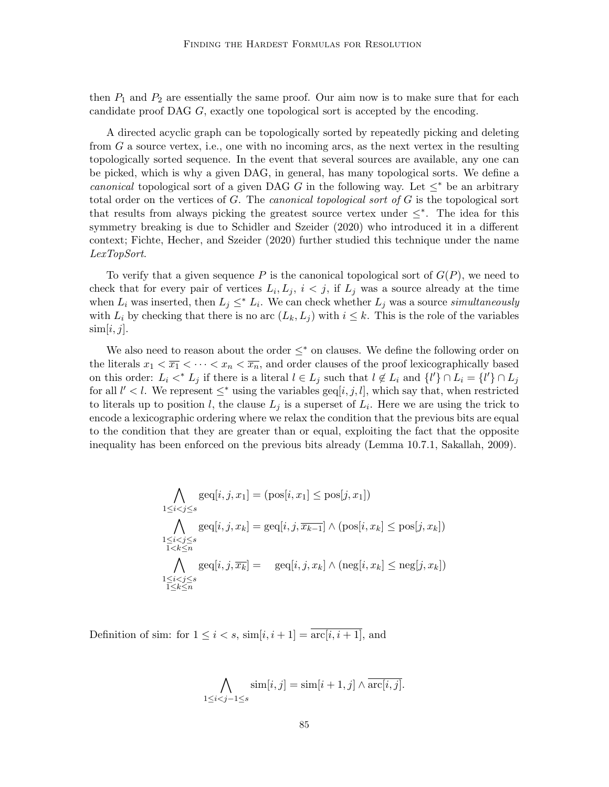then  $P_1$  and  $P_2$  are essentially the same proof. Our aim now is to make sure that for each candidate proof DAG G, exactly one topological sort is accepted by the encoding.

A directed acyclic graph can be topologically sorted by repeatedly picking and deleting from G a source vertex, i.e., one with no incoming arcs, as the next vertex in the resulting topologically sorted sequence. In the event that several sources are available, any one can be picked, which is why a given DAG, in general, has many topological sorts. We define a canonical topological sort of a given DAG G in the following way. Let  $\leq^*$  be an arbitrary total order on the vertices of G. The *canonical topological sort of*  $G$  is the topological sort that results from always picking the greatest source vertex under  $\leq^*$ . The idea for this symmetry breaking is due to Schidler and Szeider (2020) who introduced it in a different context; Fichte, Hecher, and Szeider (2020) further studied this technique under the name LexTopSort.

To verify that a given sequence P is the canonical topological sort of  $G(P)$ , we need to check that for every pair of vertices  $L_i, L_j, i < j$ , if  $L_j$  was a source already at the time when  $L_i$  was inserted, then  $L_j \leq^* L_i$ . We can check whether  $L_j$  was a source simultaneously with  $L_i$  by checking that there is no arc  $(L_k, L_i)$  with  $i \leq k$ . This is the role of the variables  $\text{sim}[i, j]$ .

We also need to reason about the order  $\leq^*$  on clauses. We define the following order on the literals  $x_1 < \overline{x_1} < \cdots < x_n < \overline{x_n}$ , and order clauses of the proof lexicographically based on this order:  $L_i <^* L_j$  if there is a literal  $l \in L_j$  such that  $l \notin L_i$  and  $\{l'\} \cap L_i = \{l'\} \cap L_j$ for all  $l' < l$ . We represent  $\leq^*$  using the variables geq[i, j, l], which say that, when restricted to literals up to position l, the clause  $L_j$  is a superset of  $L_i$ . Here we are using the trick to encode a lexicographic ordering where we relax the condition that the previous bits are equal to the condition that they are greater than or equal, exploiting the fact that the opposite inequality has been enforced on the previous bits already (Lemma 10.7.1, Sakallah, 2009).

$$
\bigwedge_{1 \leq i < j \leq s} \text{geq}[i, j, x_1] = (\text{pos}[i, x_1] \leq \text{pos}[j, x_1])
$$
\n
$$
\bigwedge_{1 \leq i < j \leq s} \text{geq}[i, j, x_k] = \text{geq}[i, j, \overline{x_{k-1}}] \land (\text{pos}[i, x_k] \leq \text{pos}[j, x_k])
$$
\n
$$
\bigwedge_{1 \leq k \leq n} \text{geq}[i, j, \overline{x_k}] = \text{geq}[i, j, x_k] \land (\text{neg}[i, x_k] \leq \text{neg}[j, x_k])
$$
\n
$$
\bigwedge_{1 \leq i < j \leq s} \text{geq}[i, j, \overline{x_k}] = \text{geq}[i, j, x_k] \land (\text{neg}[i, x_k] \leq \text{neg}[j, x_k])
$$

Definition of sim: for  $1 \leq i \leq s$ ,  $\text{sim}[i, i+1] = \overline{\text{arc}[i, i+1]}$ , and

$$
\bigwedge_{1 \leq i < j-1 \leq s} \operatorname{sim}[i, j] = \operatorname{sim}[i + 1, j] \land \overline{\operatorname{arc}[i, j]}.
$$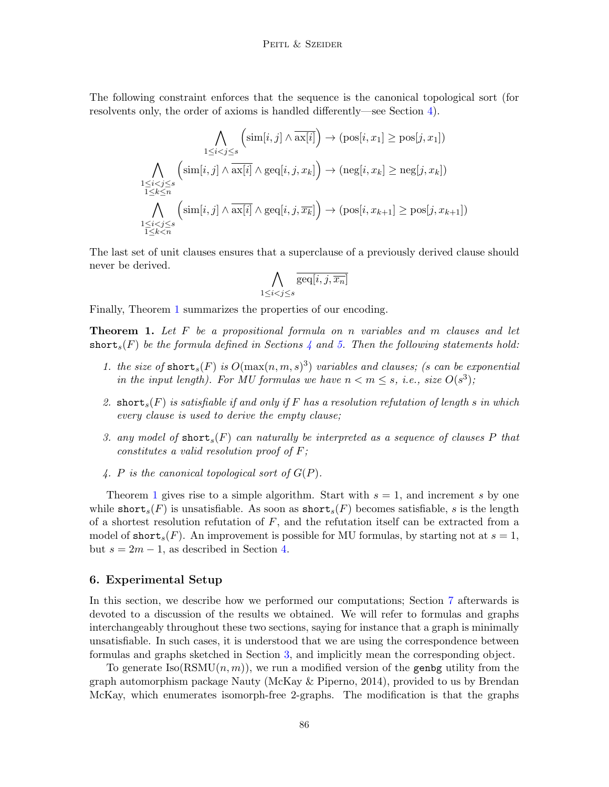The following constraint enforces that the sequence is the canonical topological sort (for resolvents only, the order of axioms is handled differently—see Section [4\)](#page-10-0).

$$
\bigwedge_{1 \leq i < j \leq s} \left( \operatorname{sim}[i, j] \land \overline{\operatorname{ax}[i]} \right) \to (\operatorname{pos}[i, x_1] \geq \operatorname{pos}[j, x_1])
$$
\n
$$
\bigwedge_{\substack{1 \leq i < j \leq s \\ 1 \leq k \leq n}} \left( \operatorname{sim}[i, j] \land \overline{\operatorname{ax}[i]} \land \operatorname{ge}[i, j, x_k] \right) \to (\operatorname{neg}[i, x_k] \geq \operatorname{neg}[j, x_k])
$$
\n
$$
\bigwedge_{\substack{1 \leq i < j \leq s \\ 1 \leq k < n}} \left( \operatorname{sim}[i, j] \land \overline{\operatorname{ax}[i]} \land \operatorname{ge}[i, j, \overline{x_k}] \right) \to (\operatorname{pos}[i, x_{k+1}] \geq \operatorname{pos}[j, x_{k+1}])
$$

The last set of unit clauses ensures that a superclause of a previously derived clause should never be derived.

$$
\bigwedge_{1 \leq i < j \leq s} \overline{\text{geq}[i,j,\overline{x_n}]}
$$

Finally, Theorem [1](#page-17-1) summarizes the properties of our encoding.

<span id="page-17-1"></span>**Theorem 1.** Let F be a propositional formula on n variables and m clauses and let short<sub>s</sub> $(F)$  be the formula defined in Sections [4](#page-10-0) and [5.](#page-15-0) Then the following statements hold:

- 1. the size of short<sub>s</sub> $(F)$  is  $O(\max(n, m, s)^3)$  variables and clauses; (s can be exponential in the input length). For MU formulas we have  $n < m \leq s$ , i.e., size  $O(s^3)$ ;
- 2. short<sub>s</sub> $(F)$  is satisfiable if and only if F has a resolution refutation of length s in which every clause is used to derive the empty clause;
- 3. any model of short<sub>s</sub> $(F)$  can naturally be interpreted as a sequence of clauses P that constitutes a valid resolution proof of F;
- 4. P is the canonical topological sort of  $G(P)$ .

Theorem [1](#page-17-1) gives rise to a simple algorithm. Start with  $s = 1$ , and increment s by one while short<sub>s</sub> $(F)$  is unsatisfiable. As soon as short<sub>s</sub> $(F)$  becomes satisfiable, s is the length of a shortest resolution refutation of  $F$ , and the refutation itself can be extracted from a model of short<sub>s</sub> $(F)$ . An improvement is possible for MU formulas, by starting not at  $s = 1$ , but  $s = 2m - 1$ , as described in Section [4.](#page-10-0)

### <span id="page-17-0"></span>6. Experimental Setup

In this section, we describe how we performed our computations; Section [7](#page-19-0) afterwards is devoted to a discussion of the results we obtained. We will refer to formulas and graphs interchangeably throughout these two sections, saying for instance that a graph is minimally unsatisfiable. In such cases, it is understood that we are using the correspondence between formulas and graphs sketched in Section [3,](#page-4-0) and implicitly mean the corresponding object.

To generate  $Iso(RSMU(n, m))$ , we run a modified version of the genbg utility from the graph automorphism package Nauty (McKay & Piperno, 2014), provided to us by Brendan McKay, which enumerates isomorph-free 2-graphs. The modification is that the graphs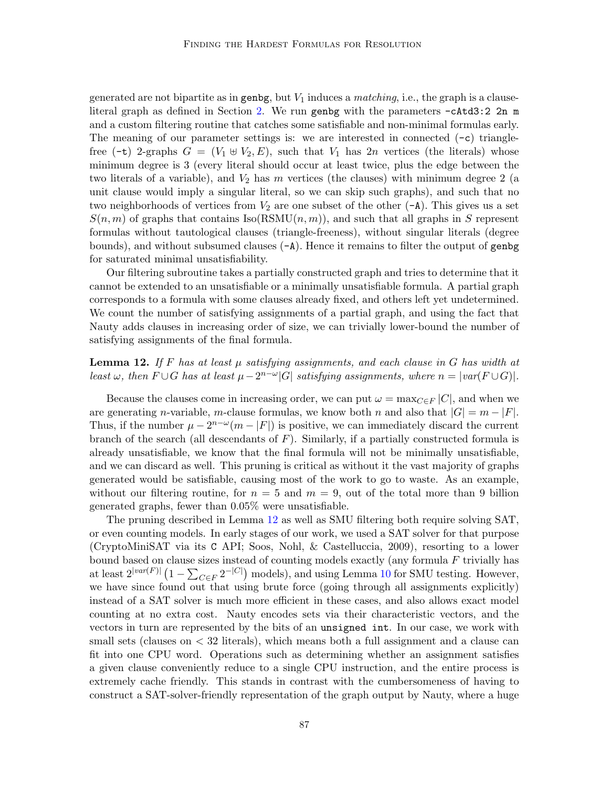generated are not bipartite as in genbg, but  $V_1$  induces a *matching*, i.e., the graph is a clauseliteral graph as defined in Section [2.](#page-2-0) We run genbg with the parameters -cAtd3:2 2n m and a custom filtering routine that catches some satisfiable and non-minimal formulas early. The meaning of our parameter settings is: we are interested in connected  $(-c)$  trianglefree (-t) 2-graphs  $G = (V_1 \oplus V_2, E)$ , such that  $V_1$  has 2n vertices (the literals) whose minimum degree is 3 (every literal should occur at least twice, plus the edge between the two literals of a variable), and  $V_2$  has m vertices (the clauses) with minimum degree 2 (a unit clause would imply a singular literal, so we can skip such graphs), and such that no two neighborhoods of vertices from  $V_2$  are one subset of the other  $(-A)$ . This gives us a set  $S(n, m)$  of graphs that contains Iso(RSMU $(n, m)$ ), and such that all graphs in S represent formulas without tautological clauses (triangle-freeness), without singular literals (degree bounds), and without subsumed clauses  $(-A)$ . Hence it remains to filter the output of genbg for saturated minimal unsatisfiability.

Our filtering subroutine takes a partially constructed graph and tries to determine that it cannot be extended to an unsatisfiable or a minimally unsatisfiable formula. A partial graph corresponds to a formula with some clauses already fixed, and others left yet undetermined. We count the number of satisfying assignments of a partial graph, and using the fact that Nauty adds clauses in increasing order of size, we can trivially lower-bound the number of satisfying assignments of the final formula.

# <span id="page-18-0"></span>**Lemma 12.** If F has at least  $\mu$  satisfying assignments, and each clause in G has width at least  $\omega$ , then  $F \cup G$  has at least  $\mu - 2^{n-\omega} |G|$  satisfying assignments, where  $n = |var(F \cup G)|$ .

Because the clauses come in increasing order, we can put  $\omega = \max_{C \in F} |C|$ , and when we are generating n-variable, m-clause formulas, we know both n and also that  $|G| = m - |F|$ . Thus, if the number  $\mu - 2^{n-\omega}(m - |F|)$  is positive, we can immediately discard the current branch of the search (all descendants of  $F$ ). Similarly, if a partially constructed formula is already unsatisfiable, we know that the final formula will not be minimally unsatisfiable, and we can discard as well. This pruning is critical as without it the vast majority of graphs generated would be satisfiable, causing most of the work to go to waste. As an example, without our filtering routine, for  $n = 5$  and  $m = 9$ , out of the total more than 9 billion generated graphs, fewer than 0.05% were unsatisfiable.

The pruning described in Lemma [12](#page-18-0) as well as SMU filtering both require solving SAT, or even counting models. In early stages of our work, we used a SAT solver for that purpose (CryptoMiniSAT via its C API; Soos, Nohl, & Castelluccia, 2009), resorting to a lower bound based on clause sizes instead of counting models exactly (any formula  $F$  trivially has at least  $2^{|var(F)|} (1 - \sum_{C \in F} 2^{-|C|})$  models), and using Lemma [10](#page-9-0) for SMU testing. However, we have since found out that using brute force (going through all assignments explicitly) instead of a SAT solver is much more efficient in these cases, and also allows exact model counting at no extra cost. Nauty encodes sets via their characteristic vectors, and the vectors in turn are represented by the bits of an unsigned int. In our case, we work with small sets (clauses on  $\lt 32$  literals), which means both a full assignment and a clause can fit into one CPU word. Operations such as determining whether an assignment satisfies a given clause conveniently reduce to a single CPU instruction, and the entire process is extremely cache friendly. This stands in contrast with the cumbersomeness of having to construct a SAT-solver-friendly representation of the graph output by Nauty, where a huge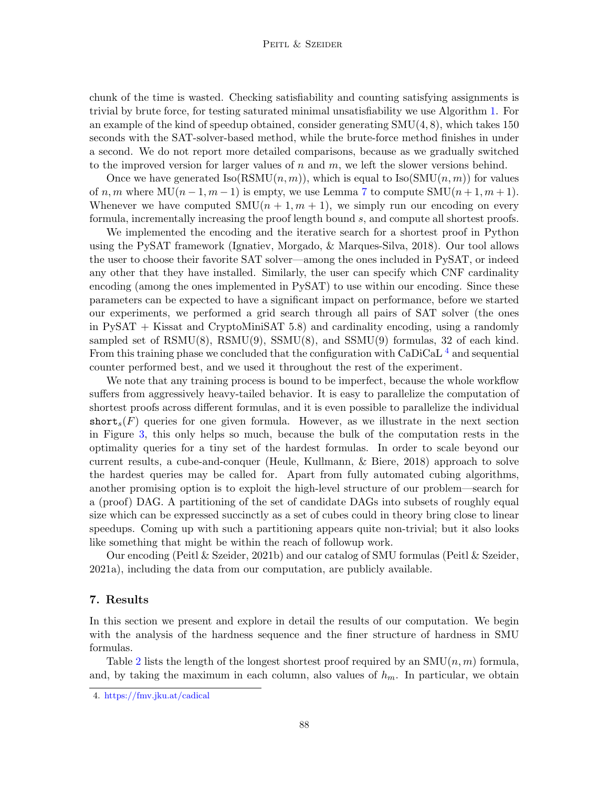chunk of the time is wasted. Checking satisfiability and counting satisfying assignments is trivial by brute force, for testing saturated minimal unsatisfiability we use Algorithm [1.](#page-11-0) For an example of the kind of speedup obtained, consider generating  $SMU(4, 8)$ , which takes 150 seconds with the SAT-solver-based method, while the brute-force method finishes in under a second. We do not report more detailed comparisons, because as we gradually switched to the improved version for larger values of  $n$  and  $m$ , we left the slower versions behind.

Once we have generated  $\text{Iso}(\text{RSMU}(n,m))$ , which is equal to  $\text{Iso}(\text{SMU}(n,m))$  for values of n, m where  $MU(n-1, m-1)$  is empty, we use Lemma [7](#page-7-0) to compute  $SMU(n+1, m+1)$ . Whenever we have computed  $\text{SMU}(n+1, m+1)$ , we simply run our encoding on every formula, incrementally increasing the proof length bound s, and compute all shortest proofs.

We implemented the encoding and the iterative search for a shortest proof in Python using the PySAT framework (Ignatiev, Morgado, & Marques-Silva, 2018). Our tool allows the user to choose their favorite SAT solver—among the ones included in PySAT, or indeed any other that they have installed. Similarly, the user can specify which CNF cardinality encoding (among the ones implemented in PySAT) to use within our encoding. Since these parameters can be expected to have a significant impact on performance, before we started our experiments, we performed a grid search through all pairs of SAT solver (the ones in PySAT + Kissat and CryptoMiniSAT 5.8) and cardinality encoding, using a randomly sampled set of  $\text{RSMU}(8)$ ,  $\text{RSMU}(9)$ ,  $\text{SSMU}(8)$ , and  $\text{SSMU}(9)$  formulas, 32 of each kind. From this training phase we concluded that the configuration with  $CaDiCaL<sup>4</sup>$  $CaDiCaL<sup>4</sup>$  $CaDiCaL<sup>4</sup>$  and sequential counter performed best, and we used it throughout the rest of the experiment.

We note that any training process is bound to be imperfect, because the whole workflow suffers from aggressively heavy-tailed behavior. It is easy to parallelize the computation of shortest proofs across different formulas, and it is even possible to parallelize the individual short<sub>s</sub> $(F)$  queries for one given formula. However, as we illustrate in the next section in Figure [3,](#page-25-1) this only helps so much, because the bulk of the computation rests in the optimality queries for a tiny set of the hardest formulas. In order to scale beyond our current results, a cube-and-conquer (Heule, Kullmann, & Biere, 2018) approach to solve the hardest queries may be called for. Apart from fully automated cubing algorithms, another promising option is to exploit the high-level structure of our problem—search for a (proof) DAG. A partitioning of the set of candidate DAGs into subsets of roughly equal size which can be expressed succinctly as a set of cubes could in theory bring close to linear speedups. Coming up with such a partitioning appears quite non-trivial; but it also looks like something that might be within the reach of followup work.

Our encoding (Peitl & Szeider, 2021b) and our catalog of SMU formulas (Peitl & Szeider, 2021a), including the data from our computation, are publicly available.

## <span id="page-19-0"></span>7. Results

In this section we present and explore in detail the results of our computation. We begin with the analysis of the hardness sequence and the finer structure of hardness in SMU formulas.

Table [2](#page-20-0) lists the length of the longest shortest proof required by an  $\text{SMU}(n, m)$  formula, and, by taking the maximum in each column, also values of  $h_m$ . In particular, we obtain

<span id="page-19-1"></span><sup>4.</sup> <https://fmv.jku.at/cadical>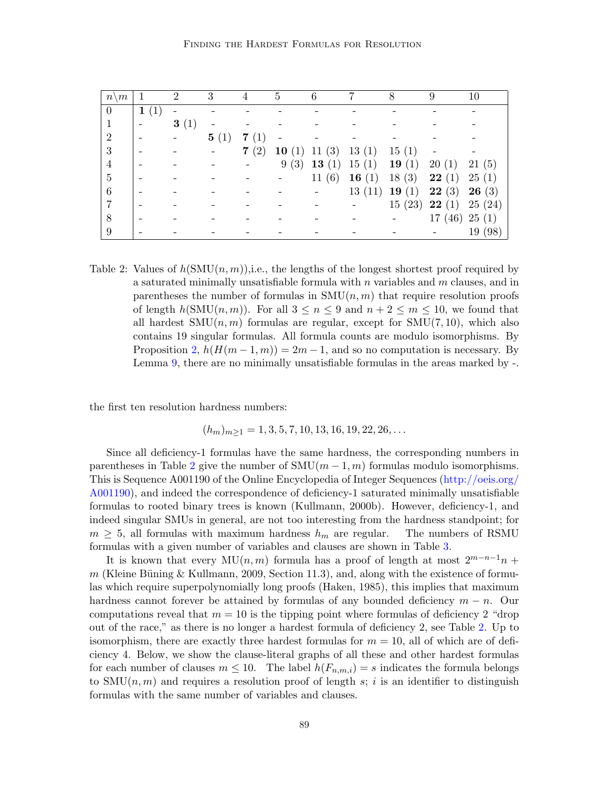| $n \setminus m$  | $\perp$                  | 2    |      | 4                  | 5                 | 6         |          | 8        |        | 10         |
|------------------|--------------------------|------|------|--------------------|-------------------|-----------|----------|----------|--------|------------|
| $\boldsymbol{0}$ | $\left( 1\right)$<br>1   |      |      |                    |                   |           |          |          |        |            |
|                  | -                        | 3(1) |      |                    |                   |           |          |          |        |            |
| $\overline{2}$   | $\overline{\phantom{a}}$ |      | 5(1) | (1)<br>$\mathbf 7$ |                   |           |          |          |        |            |
| 3                | $\overline{\phantom{a}}$ |      |      | 7(2)               | 10 $(1)$ 11 $(3)$ |           | 13(1)    | 15(1)    |        |            |
| 4                |                          |      |      |                    | 9(3)              | 13 $(1)$  | 15(1)    | 19 $(1)$ | 20(1)  | 21(5)      |
| 5                |                          |      |      |                    |                   | (6)<br>11 | 16 $(1)$ | 18(3)    | 22(1)  | 25(1)      |
| 6                |                          |      |      |                    |                   |           | 13(11)   | 19 $(1)$ | 22(3)  | 26(3)      |
|                  |                          |      |      |                    |                   |           |          | 15(23)   | 22(1)  | 25(24)     |
| 8                |                          |      |      |                    |                   |           |          |          | 17(46) | 25(1)      |
| 9                |                          |      |      |                    |                   |           |          |          |        | (98`<br>19 |

<span id="page-20-0"></span>Table 2: Values of  $h(SMU(n,m))$ , i.e., the lengths of the longest shortest proof required by a saturated minimally unsatisfiable formula with  $n$  variables and  $m$  clauses, and in parentheses the number of formulas in  $\text{SMU}(n, m)$  that require resolution proofs of length  $h(SMU(n,m))$ . For all  $3 \leq n \leq 9$  and  $n+2 \leq m \leq 10$ , we found that all hardest  $\text{SMU}(n, m)$  formulas are regular, except for  $\text{SMU}(7, 10)$ , which also contains 19 singular formulas. All formula counts are modulo isomorphisms. By Proposition [2,](#page-7-3)  $h(H(m-1,m)) = 2m-1$ , and so no computation is necessary. By Lemma [9,](#page-7-1) there are no minimally unsatisfiable formulas in the areas marked by -.

the first ten resolution hardness numbers:

$$
(h_m)_{m\geq 1} = 1, 3, 5, 7, 10, 13, 16, 19, 22, 26, \dots
$$

Since all deficiency-1 formulas have the same hardness, the corresponding numbers in parentheses in Table [2](#page-20-0) give the number of  $\text{SMU}(m-1,m)$  formulas modulo isomorphisms. This is Sequence A001190 of the Online Encyclopedia of Integer Sequences [\(http://oeis.org/](http://oeis.org/A001190) [A001190\)](http://oeis.org/A001190), and indeed the correspondence of deficiency-1 saturated minimally unsatisfiable formulas to rooted binary trees is known (Kullmann, 2000b). However, deficiency-1, and indeed singular SMUs in general, are not too interesting from the hardness standpoint; for  $m \geq 5$ , all formulas with maximum hardness  $h_m$  are regular. The numbers of RSMU formulas with a given number of variables and clauses are shown in Table [3.](#page-21-0)

It is known that every MU $(n, m)$  formula has a proof of length at most  $2^{m-n-1}n +$ m (Kleine Büning & Kullmann, 2009, Section 11.3), and, along with the existence of formulas which require superpolynomially long proofs (Haken, 1985), this implies that maximum hardness cannot forever be attained by formulas of any bounded deficiency  $m - n$ . Our computations reveal that  $m = 10$  is the tipping point where formulas of deficiency 2 "drop" out of the race," as there is no longer a hardest formula of deficiency 2, see Table [2.](#page-20-0) Up to isomorphism, there are exactly three hardest formulas for  $m = 10$ , all of which are of deficiency 4. Below, we show the clause-literal graphs of all these and other hardest formulas for each number of clauses  $m \leq 10$ . The label  $h(F_{n,m,i}) = s$  indicates the formula belongs to SMU $(n, m)$  and requires a resolution proof of length s; i is an identifier to distinguish formulas with the same number of variables and clauses.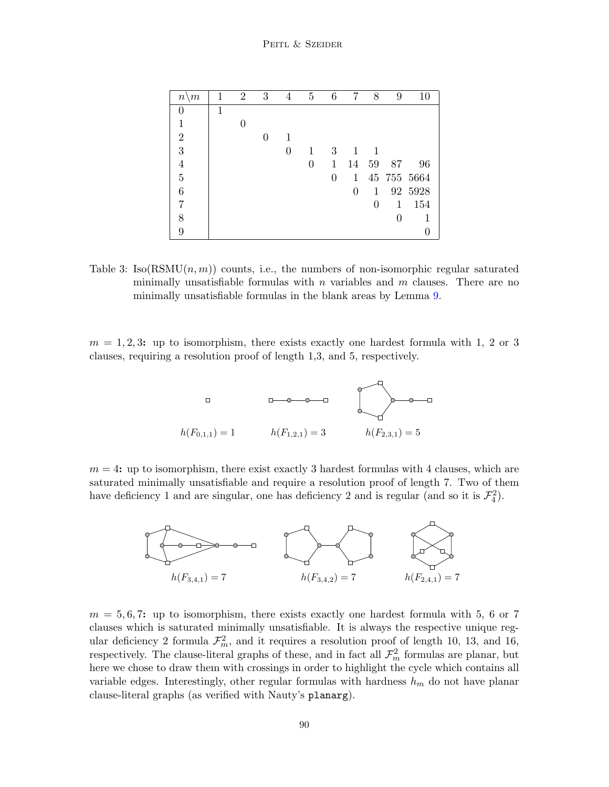| $n \backslash m$ | 1 | $\overline{2}$ | 3 | 4 | $\overline{5}$ | 6              | 7              | 8  | 9            | 10          |
|------------------|---|----------------|---|---|----------------|----------------|----------------|----|--------------|-------------|
| 0                |   |                |   |   |                |                |                |    |              |             |
|                  |   |                |   |   |                |                |                |    |              |             |
| $\overline{2}$   |   |                |   | 1 |                |                |                |    |              |             |
| 3                |   |                |   | 0 | 1              | 3              | $\mathbf{1}$   | 1  |              |             |
| 4                |   |                |   |   | 0              | 1              | 14             | 59 | 87           | 96          |
| 5                |   |                |   |   |                | $\overline{0}$ | $\mathbf{1}$   |    |              | 45 755 5664 |
| 6                |   |                |   |   |                |                | $\overline{0}$ | 1  |              | 92 5928     |
|                  |   |                |   |   |                |                |                | 0  | $\mathbf{1}$ | 154         |
| 8                |   |                |   |   |                |                |                |    |              |             |
| 9                |   |                |   |   |                |                |                |    |              |             |

<span id="page-21-0"></span>Table 3:  $\text{Iso}(\text{RSMU}(n, m))$  counts, i.e., the numbers of non-isomorphic regular saturated minimally unsatisfiable formulas with  $n$  variables and  $m$  clauses. There are no minimally unsatisfiable formulas in the blank areas by Lemma [9.](#page-7-1)

 $m = 1, 2, 3$ : up to isomorphism, there exists exactly one hardest formula with 1, 2 or 3 clauses, requiring a resolution proof of length 1,3, and 5, respectively.



 $m = 4$ : up to isomorphism, there exist exactly 3 hardest formulas with 4 clauses, which are saturated minimally unsatisfiable and require a resolution proof of length 7. Two of them have deficiency 1 and are singular, one has deficiency 2 and is regular (and so it is  $\mathcal{F}_4^2$ ).



 $m = 5, 6, 7$ : up to isomorphism, there exists exactly one hardest formula with 5, 6 or 7 clauses which is saturated minimally unsatisfiable. It is always the respective unique regular deficiency 2 formula  $\mathcal{F}_m^2$ , and it requires a resolution proof of length 10, 13, and 16, respectively. The clause-literal graphs of these, and in fact all  $\mathcal{F}^2_m$  formulas are planar, but here we chose to draw them with crossings in order to highlight the cycle which contains all variable edges. Interestingly, other regular formulas with hardness  $h_m$  do not have planar clause-literal graphs (as verified with Nauty's planarg).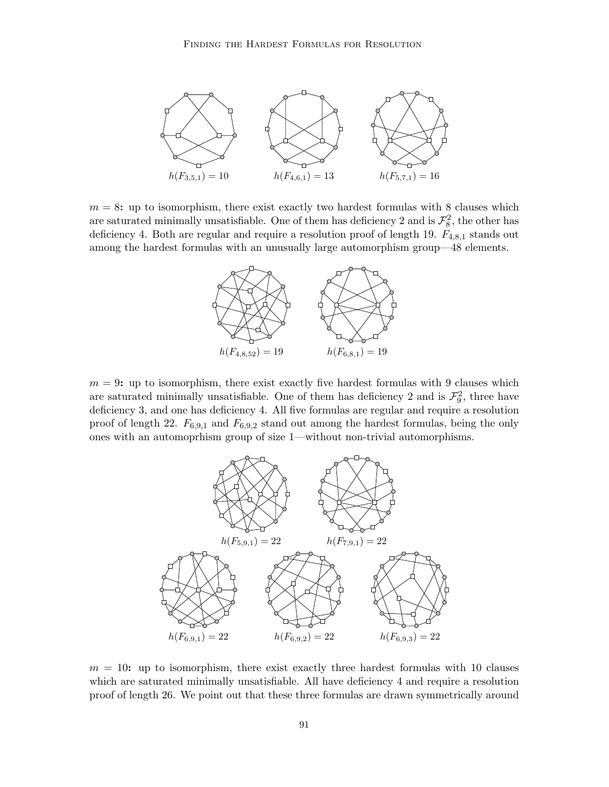

 $m = 8$ : up to isomorphism, there exist exactly two hardest formulas with 8 clauses which are saturated minimally unsatisfiable. One of them has deficiency 2 and is  $\mathcal{F}_8^2$ , the other has deficiency 4. Both are regular and require a resolution proof of length 19.  $F_{4,8,1}$  stands out among the hardest formulas with an unusually large automorphism group—48 elements.



 $m = 9$ : up to isomorphism, there exist exactly five hardest formulas with 9 clauses which are saturated minimally unsatisfiable. One of them has deficiency 2 and is  $\mathcal{F}_9^2$ , three have deficiency 3, and one has deficiency 4. All five formulas are regular and require a resolution proof of length 22.  $F_{6,9,1}$  and  $F_{6,9,2}$  stand out among the hardest formulas, being the only ones with an automoprhism group of size 1—without non-trivial automorphisms.



 $m = 10$ : up to isomorphism, there exist exactly three hardest formulas with 10 clauses which are saturated minimally unsatisfiable. All have deficiency 4 and require a resolution proof of length 26. We point out that these three formulas are drawn symmetrically around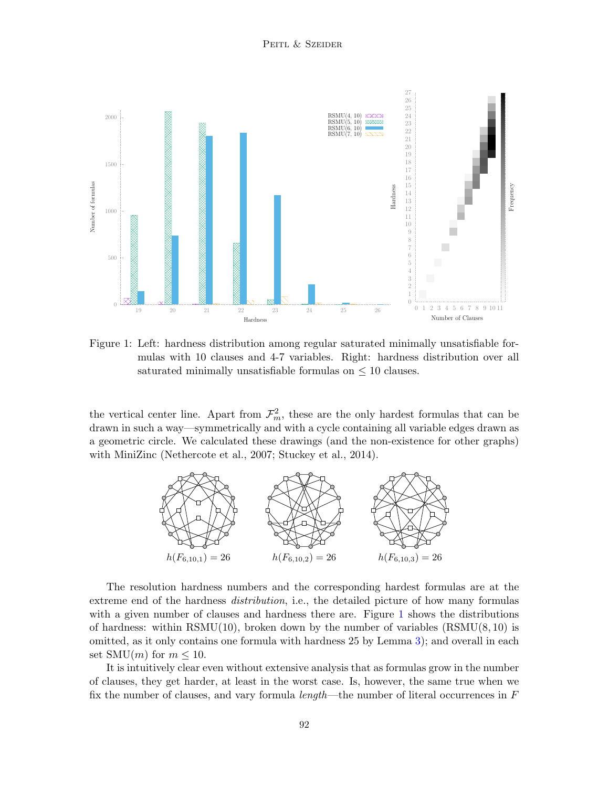

Figure 1: Left: hardness distribution among regular saturated minimally unsatisfiable formulas with 10 clauses and 4-7 variables. Right: hardness distribution over all saturated minimally unsatisfiable formulas on  $\leq 10$  clauses.

the vertical center line. Apart from  $\mathcal{F}_m^2$ , these are the only hardest formulas that can be drawn in such a way—symmetrically and with a cycle containing all variable edges drawn as a geometric circle. We calculated these drawings (and the non-existence for other graphs) with MiniZinc (Nethercote et al., 2007; Stuckey et al., 2014).

<span id="page-23-0"></span>

The resolution hardness numbers and the corresponding hardest formulas are at the extreme end of the hardness *distribution*, i.e., the detailed picture of how many formulas with a given number of clauses and hardness there are. Figure [1](#page-23-0) shows the distributions of hardness: within  $\text{RSMU}(10)$ , broken down by the number of variables  $(\text{RSMU}(8, 10))$  is omitted, as it only contains one formula with hardness 25 by Lemma [3\)](#page-7-4); and overall in each set SMU $(m)$  for  $m \leq 10$ .

It is intuitively clear even without extensive analysis that as formulas grow in the number of clauses, they get harder, at least in the worst case. Is, however, the same true when we fix the number of clauses, and vary formula *length*—the number of literal occurrences in  $F$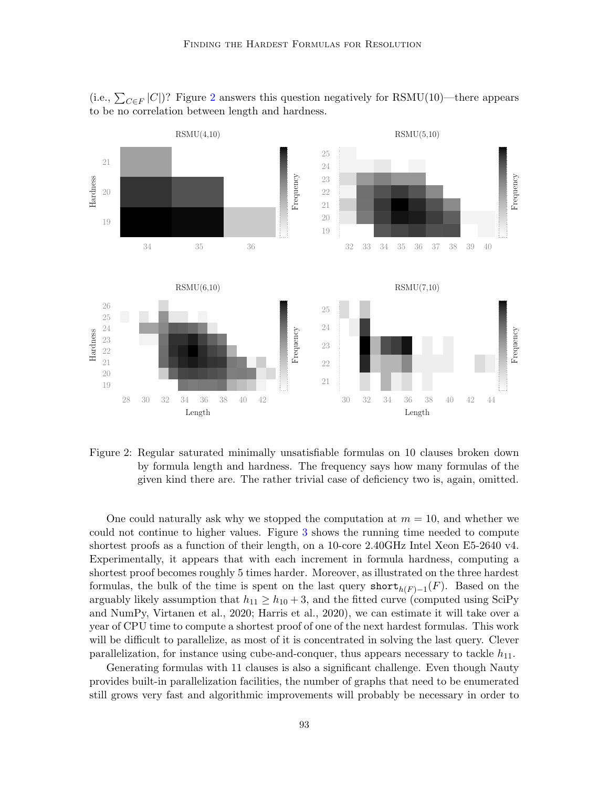

(i.e.,  $\sum_{C \in F} |C|$ )? Figure [2](#page-24-0) answers this question negatively for RSMU(10)—there appears to be no correlation between length and hardness.

<span id="page-24-0"></span>Figure 2: Regular saturated minimally unsatisfiable formulas on 10 clauses broken down by formula length and hardness. The frequency says how many formulas of the given kind there are. The rather trivial case of deficiency two is, again, omitted.

One could naturally ask why we stopped the computation at  $m = 10$ , and whether we could not continue to higher values. Figure [3](#page-25-1) shows the running time needed to compute shortest proofs as a function of their length, on a 10-core 2.40GHz Intel Xeon E5-2640 v4. Experimentally, it appears that with each increment in formula hardness, computing a shortest proof becomes roughly 5 times harder. Moreover, as illustrated on the three hardest formulas, the bulk of the time is spent on the last query  $\texttt{short}_{h(F)-1}(F)$ . Based on the arguably likely assumption that  $h_{11} \geq h_{10} + 3$ , and the fitted curve (computed using SciPy and NumPy, Virtanen et al., 2020; Harris et al., 2020), we can estimate it will take over a year of CPU time to compute a shortest proof of one of the next hardest formulas. This work will be difficult to parallelize, as most of it is concentrated in solving the last query. Clever parallelization, for instance using cube-and-conquer, thus appears necessary to tackle  $h_{11}$ .

Generating formulas with 11 clauses is also a significant challenge. Even though Nauty provides built-in parallelization facilities, the number of graphs that need to be enumerated still grows very fast and algorithmic improvements will probably be necessary in order to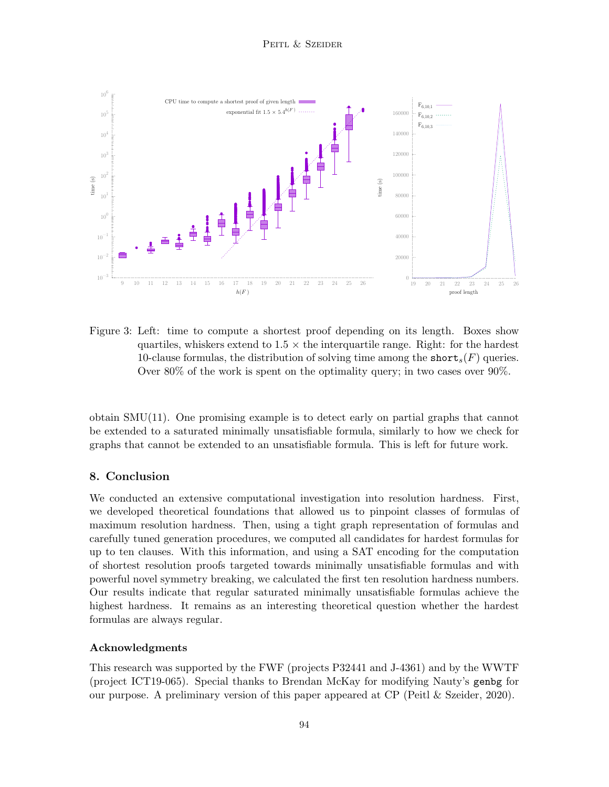

<span id="page-25-1"></span>Figure 3: Left: time to compute a shortest proof depending on its length. Boxes show quartiles, whiskers extend to  $1.5 \times$  the interquartile range. Right: for the hardest 10-clause formulas, the distribution of solving time among the short,  $(F)$  queries. Over 80% of the work is spent on the optimality query; in two cases over 90%.

obtain SMU(11). One promising example is to detect early on partial graphs that cannot be extended to a saturated minimally unsatisfiable formula, similarly to how we check for graphs that cannot be extended to an unsatisfiable formula. This is left for future work.

## <span id="page-25-0"></span>8. Conclusion

We conducted an extensive computational investigation into resolution hardness. First, we developed theoretical foundations that allowed us to pinpoint classes of formulas of maximum resolution hardness. Then, using a tight graph representation of formulas and carefully tuned generation procedures, we computed all candidates for hardest formulas for up to ten clauses. With this information, and using a SAT encoding for the computation of shortest resolution proofs targeted towards minimally unsatisfiable formulas and with powerful novel symmetry breaking, we calculated the first ten resolution hardness numbers. Our results indicate that regular saturated minimally unsatisfiable formulas achieve the highest hardness. It remains as an interesting theoretical question whether the hardest formulas are always regular.

## Acknowledgments

This research was supported by the FWF (projects P32441 and J-4361) and by the WWTF (project ICT19-065). Special thanks to Brendan McKay for modifying Nauty's genbg for our purpose. A preliminary version of this paper appeared at CP (Peitl & Szeider, 2020).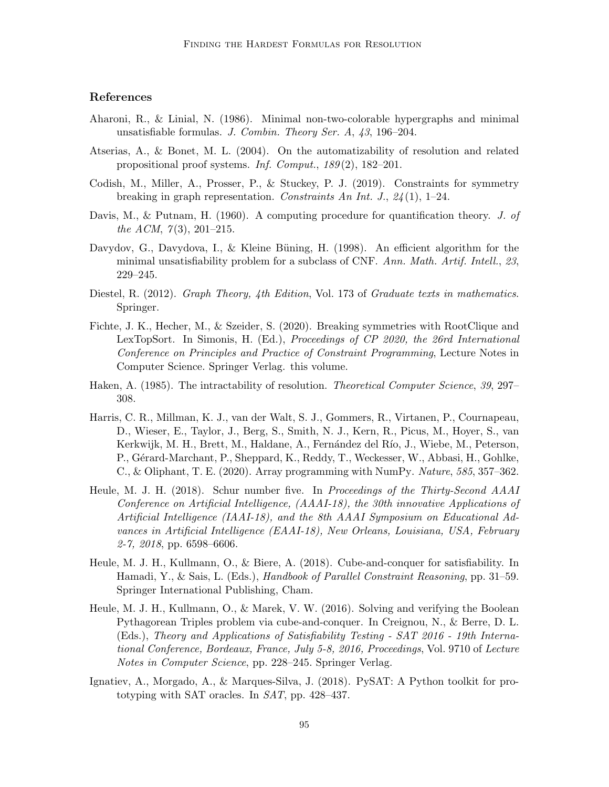## References

- Aharoni, R., & Linial, N. (1986). Minimal non-two-colorable hypergraphs and minimal unsatisfiable formulas. J. Combin. Theory Ser. A, 43, 196–204.
- Atserias, A., & Bonet, M. L. (2004). On the automatizability of resolution and related propositional proof systems. Inf. Comput.,  $189(2)$ ,  $182-201$ .
- Codish, M., Miller, A., Prosser, P., & Stuckey, P. J. (2019). Constraints for symmetry breaking in graph representation. Constraints An Int. J.,  $24(1)$ , 1–24.
- Davis, M., & Putnam, H. (1960). A computing procedure for quantification theory. J. of the ACM,  $7(3)$ , 201–215.
- Davydov, G., Davydova, I., & Kleine Büning, H. (1998). An efficient algorithm for the minimal unsatisfiability problem for a subclass of CNF. Ann. Math. Artif. Intell., 23, 229–245.
- Diestel, R. (2012). Graph Theory, 4th Edition, Vol. 173 of Graduate texts in mathematics. Springer.
- Fichte, J. K., Hecher, M., & Szeider, S. (2020). Breaking symmetries with RootClique and LexTopSort. In Simonis, H. (Ed.), Proceedings of CP 2020, the 26rd International Conference on Principles and Practice of Constraint Programming, Lecture Notes in Computer Science. Springer Verlag. this volume.
- Haken, A. (1985). The intractability of resolution. *Theoretical Computer Science*, 39, 297– 308.
- Harris, C. R., Millman, K. J., van der Walt, S. J., Gommers, R., Virtanen, P., Cournapeau, D., Wieser, E., Taylor, J., Berg, S., Smith, N. J., Kern, R., Picus, M., Hoyer, S., van Kerkwijk, M. H., Brett, M., Haldane, A., Fernández del Río, J., Wiebe, M., Peterson, P., Gérard-Marchant, P., Sheppard, K., Reddy, T., Weckesser, W., Abbasi, H., Gohlke, C., & Oliphant, T. E. (2020). Array programming with NumPy. Nature,  $585, 357-362$ .
- Heule, M. J. H. (2018). Schur number five. In Proceedings of the Thirty-Second AAAI Conference on Artificial Intelligence, (AAAI-18), the 30th innovative Applications of Artificial Intelligence (IAAI-18), and the 8th AAAI Symposium on Educational Advances in Artificial Intelligence (EAAI-18), New Orleans, Louisiana, USA, February 2-7, 2018, pp. 6598–6606.
- Heule, M. J. H., Kullmann, O., & Biere, A. (2018). Cube-and-conquer for satisfiability. In Hamadi, Y., & Sais, L. (Eds.), Handbook of Parallel Constraint Reasoning, pp. 31–59. Springer International Publishing, Cham.
- Heule, M. J. H., Kullmann, O., & Marek, V. W. (2016). Solving and verifying the Boolean Pythagorean Triples problem via cube-and-conquer. In Creignou, N., & Berre, D. L. (Eds.), Theory and Applications of Satisfiability Testing - SAT 2016 - 19th International Conference, Bordeaux, France, July 5-8, 2016, Proceedings, Vol. 9710 of Lecture Notes in Computer Science, pp. 228–245. Springer Verlag.
- Ignatiev, A., Morgado, A., & Marques-Silva, J. (2018). PySAT: A Python toolkit for prototyping with SAT oracles. In SAT, pp. 428–437.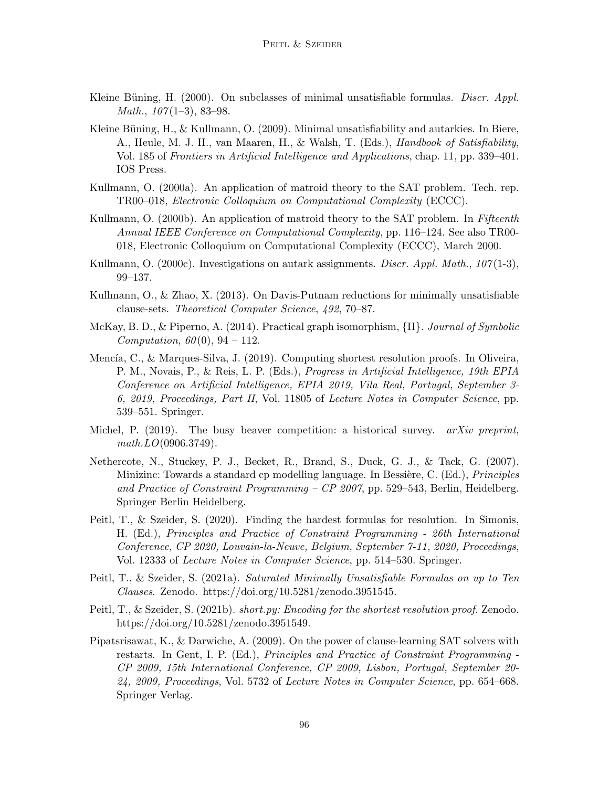- Kleine Büning, H.  $(2000)$ . On subclasses of minimal unsatisfiable formulas. *Discr. Appl.* Math.,  $107(1-3)$ , 83-98.
- Kleine Büning, H.,  $\&$  Kullmann, O. (2009). Minimal unsatisfiability and autarkies. In Biere, A., Heule, M. J. H., van Maaren, H., & Walsh, T. (Eds.), Handbook of Satisfiability, Vol. 185 of Frontiers in Artificial Intelligence and Applications, chap. 11, pp. 339–401. IOS Press.
- Kullmann, O. (2000a). An application of matroid theory to the SAT problem. Tech. rep. TR00–018, Electronic Colloquium on Computational Complexity (ECCC).
- Kullmann, O. (2000b). An application of matroid theory to the SAT problem. In Fifteenth Annual IEEE Conference on Computational Complexity, pp. 116–124. See also TR00- 018, Electronic Colloquium on Computational Complexity (ECCC), March 2000.
- Kullmann, O. (2000c). Investigations on autark assignments. *Discr. Appl. Math.*,  $107(1-3)$ , 99–137.
- Kullmann, O., & Zhao, X. (2013). On Davis-Putnam reductions for minimally unsatisfiable clause-sets. Theoretical Computer Science, 492, 70–87.
- McKay, B. D., & Piperno, A. (2014). Practical graph isomorphism,  $\{II\}$ . Journal of Symbolic *Computation,*  $60(0)$ ,  $94 - 112$ .
- Mencía, C., & Marques-Silva, J. (2019). Computing shortest resolution proofs. In Oliveira, P. M., Novais, P., & Reis, L. P. (Eds.), Progress in Artificial Intelligence, 19th EPIA Conference on Artificial Intelligence, EPIA 2019, Vila Real, Portugal, September 3- 6, 2019, Proceedings, Part II, Vol. 11805 of Lecture Notes in Computer Science, pp. 539–551. Springer.
- Michel, P.  $(2019)$ . The busy beaver competition: a historical survey. *arXiv preprint*,  $math.LO(0906.3749).$
- Nethercote, N., Stuckey, P. J., Becket, R., Brand, S., Duck, G. J., & Tack, G. (2007). Minizinc: Towards a standard cp modelling language. In Bessière, C. (Ed.), *Principles* and Practice of Constraint Programming –  $CP$  2007, pp. 529–543, Berlin, Heidelberg. Springer Berlin Heidelberg.
- Peitl, T., & Szeider, S. (2020). Finding the hardest formulas for resolution. In Simonis, H. (Ed.), Principles and Practice of Constraint Programming - 26th International Conference, CP 2020, Louvain-la-Neuve, Belgium, September 7-11, 2020, Proceedings, Vol. 12333 of Lecture Notes in Computer Science, pp. 514–530. Springer.
- Peitl, T., & Szeider, S. (2021a). Saturated Minimally Unsatisfiable Formulas on up to Ten Clauses. Zenodo. https://doi.org/10.5281/zenodo.3951545.
- Peitl, T., & Szeider, S. (2021b). *short.py: Encoding for the shortest resolution proof.* Zenodo. https://doi.org/10.5281/zenodo.3951549.
- Pipatsrisawat, K., & Darwiche, A. (2009). On the power of clause-learning SAT solvers with restarts. In Gent, I. P. (Ed.), Principles and Practice of Constraint Programming - CP 2009, 15th International Conference, CP 2009, Lisbon, Portugal, September 20- 24, 2009, Proceedings, Vol. 5732 of Lecture Notes in Computer Science, pp. 654–668. Springer Verlag.